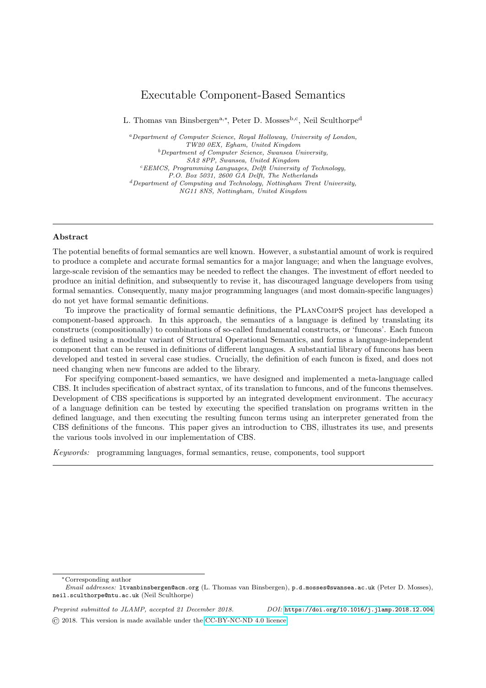# Executable Component-Based Semantics

L. Thomas van Binsbergen<sup>a,∗</sup>, Peter D. Mosses<sup>b,c</sup>, Neil Sculthorpe<sup>d</sup>

<sup>a</sup>Department of Computer Science, Royal Holloway, University of London, TW20 0EX, Egham, United Kingdom <sup>b</sup>Department of Computer Science, Swansea University, SA2 8PP, Swansea, United Kingdom  $c$ EEMCS, Programming Languages, Delft University of Technology, P.O. Box 5031, 2600 GA Delft, The Netherlands  ${}^{d}$ Department of Computing and Technology, Nottingham Trent University, NG11 8NS, Nottingham, United Kingdom

#### Abstract

The potential benefits of formal semantics are well known. However, a substantial amount of work is required to produce a complete and accurate formal semantics for a major language; and when the language evolves, large-scale revision of the semantics may be needed to reflect the changes. The investment of effort needed to produce an initial definition, and subsequently to revise it, has discouraged language developers from using formal semantics. Consequently, many major programming languages (and most domain-specific languages) do not yet have formal semantic definitions.

To improve the practicality of formal semantic definitions, the PLanCompS project has developed a component-based approach. In this approach, the semantics of a language is defined by translating its constructs (compositionally) to combinations of so-called fundamental constructs, or 'funcons'. Each funcon is defined using a modular variant of Structural Operational Semantics, and forms a language-independent component that can be reused in definitions of different languages. A substantial library of funcons has been developed and tested in several case studies. Crucially, the definition of each funcon is fixed, and does not need changing when new funcons are added to the library.

For specifying component-based semantics, we have designed and implemented a meta-language called CBS. It includes specification of abstract syntax, of its translation to funcons, and of the funcons themselves. Development of CBS specifications is supported by an integrated development environment. The accuracy of a language definition can be tested by executing the specified translation on programs written in the defined language, and then executing the resulting funcon terms using an interpreter generated from the CBS definitions of the funcons. This paper gives an introduction to CBS, illustrates its use, and presents the various tools involved in our implementation of CBS.

Keywords: programming languages, formal semantics, reuse, components, tool support

Preprint submitted to JLAMP, accepted 21 December 2018. © 2018. This version is made available under the [CC-BY-NC-ND 4.0 licence.](https://creativecommons.org/licenses/by-nc-nd/4.0/) DOI: <https://doi.org/10.1016/j.jlamp.2018.12.004>

<sup>∗</sup>Corresponding author

Email addresses: ltvanbinsbergen@acm.org (L. Thomas van Binsbergen), p.d.mosses@swansea.ac.uk (Peter D. Mosses), neil.sculthorpe@ntu.ac.uk (Neil Sculthorpe)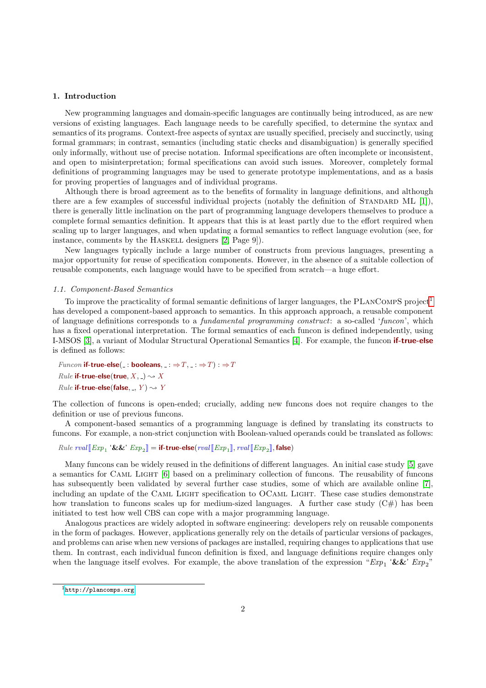## 1. Introduction

New programming languages and domain-specific languages are continually being introduced, as are new versions of existing languages. Each language needs to be carefully specified, to determine the syntax and semantics of its programs. Context-free aspects of syntax are usually specified, precisely and succinctly, using formal grammars; in contrast, semantics (including static checks and disambiguation) is generally specified only informally, without use of precise notation. Informal specifications are often incomplete or inconsistent, and open to misinterpretation; formal specifications can avoid such issues. Moreover, completely formal definitions of programming languages may be used to generate prototype implementations, and as a basis for proving properties of languages and of individual programs.

Although there is broad agreement as to the benefits of formality in language definitions, and although there are a few examples of successful individual projects (notably the definition of STANDARD ML [\[1\]](#page-26-0)), there is generally little inclination on the part of programming language developers themselves to produce a complete formal semantics definition. It appears that this is at least partly due to the effort required when scaling up to larger languages, and when updating a formal semantics to reflect language evolution (see, for instance, comments by the HASKELL designers [\[2,](#page-26-1) Page 9]).

New languages typically include a large number of constructs from previous languages, presenting a major opportunity for reuse of specification components. However, in the absence of a suitable collection of reusable components, each language would have to be specified from scratch—a huge effort.

## 1.1. Component-Based Semantics

To improve the practicality of formal semantic definitions of larger languages, the PLANCOMPS project<sup>[1](#page-1-0)</sup> has developed a component-based approach to semantics. In this approach approach, a reusable component of language definitions corresponds to a fundamental programming construct: a so-called 'funcon', which has a fixed operational interpretation. The formal semantics of each funcon is defined independently, using I-MSOS [\[3\]](#page-26-2), a variant of Modular Structural Operational Semantics [\[4\]](#page-26-3). For example, the funcon if-true-else is defined as follows:

 $Funcon$  if-true-else( $\angle$ : booleans,  $\angle$ :  $\Rightarrow$   $T, \angle$ :  $\Rightarrow$   $T$ ) :  $\Rightarrow$   $T$ *Rule* if-true-else(true,  $X$ , \_)  $\rightsquigarrow$   $X$  $Rule$  if-true-else(false, \_,  $Y$ )  $\sim Y$ 

The collection of funcons is open-ended; crucially, adding new funcons does not require changes to the definition or use of previous funcons.

A component-based semantics of a programming language is defined by translating its constructs to funcons. For example, a non-strict conjunction with Boolean-valued operands could be translated as follows:

# $Rule\;rval\;[\![Exp_1\;'\&\&'\;Exp_2]\!] = \textbf{if-true-else}(\mathit{rval}\;[\![Exp_1]\!],\mathit{rval}\;[\![Exp_2]\!],\textbf{false})$

Many funcons can be widely reused in the definitions of different languages. An initial case study [\[5\]](#page-26-4) gave a semantics for Caml Light [\[6\]](#page-26-5) based on a preliminary collection of funcons. The reusability of funcons has subsequently been validated by several further case studies, some of which are available online [\[7\]](#page-26-6). including an update of the Caml Light specification to OCaml Light. These case studies demonstrate how translation to funcons scales up for medium-sized languages. A further case study  $(C#)$  has been initiated to test how well CBS can cope with a major programming language.

Analogous practices are widely adopted in software engineering: developers rely on reusable components in the form of packages. However, applications generally rely on the details of particular versions of packages, and problems can arise when new versions of packages are installed, requiring changes to applications that use them. In contrast, each individual funcon definition is fixed, and language definitions require changes only when the language itself evolves. For example, the above translation of the expression " $Exp_1$  ' $\&\&$ '  $Exp_2$ "

<span id="page-1-0"></span><sup>1</sup><http://plancomps.org>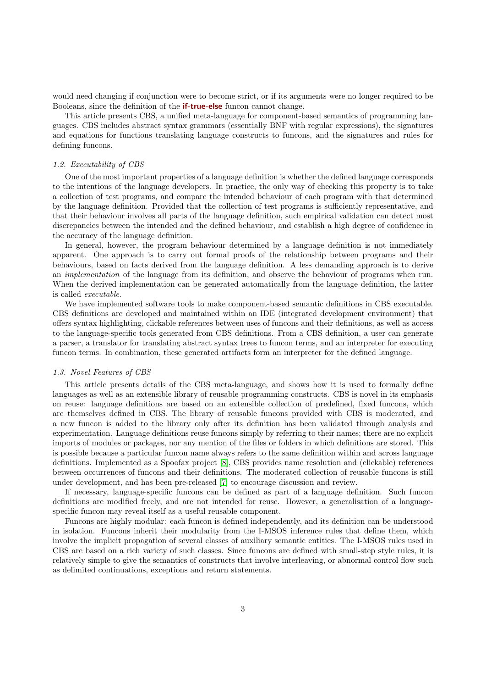would need changing if conjunction were to become strict, or if its arguments were no longer required to be Booleans, since the definition of the if-true-else funcon cannot change.

This article presents CBS, a unified meta-language for component-based semantics of programming languages. CBS includes abstract syntax grammars (essentially BNF with regular expressions), the signatures and equations for functions translating language constructs to funcons, and the signatures and rules for defining funcons.

#### 1.2. Executability of CBS

One of the most important properties of a language definition is whether the defined language corresponds to the intentions of the language developers. In practice, the only way of checking this property is to take a collection of test programs, and compare the intended behaviour of each program with that determined by the language definition. Provided that the collection of test programs is sufficiently representative, and that their behaviour involves all parts of the language definition, such empirical validation can detect most discrepancies between the intended and the defined behaviour, and establish a high degree of confidence in the accuracy of the language definition.

In general, however, the program behaviour determined by a language definition is not immediately apparent. One approach is to carry out formal proofs of the relationship between programs and their behaviours, based on facts derived from the language definition. A less demanding approach is to derive an implementation of the language from its definition, and observe the behaviour of programs when run. When the derived implementation can be generated automatically from the language definition, the latter is called executable.

We have implemented software tools to make component-based semantic definitions in CBS executable. CBS definitions are developed and maintained within an IDE (integrated development environment) that offers syntax highlighting, clickable references between uses of funcons and their definitions, as well as access to the language-specific tools generated from CBS definitions. From a CBS definition, a user can generate a parser, a translator for translating abstract syntax trees to funcon terms, and an interpreter for executing funcon terms. In combination, these generated artifacts form an interpreter for the defined language.

#### 1.3. Novel Features of CBS

This article presents details of the CBS meta-language, and shows how it is used to formally define languages as well as an extensible library of reusable programming constructs. CBS is novel in its emphasis on reuse: language definitions are based on an extensible collection of predefined, fixed funcons, which are themselves defined in CBS. The library of reusable funcons provided with CBS is moderated, and a new funcon is added to the library only after its definition has been validated through analysis and experimentation. Language definitions reuse funcons simply by referring to their names; there are no explicit imports of modules or packages, nor any mention of the files or folders in which definitions are stored. This is possible because a particular funcon name always refers to the same definition within and across language definitions. Implemented as a Spoofax project [\[8\]](#page-27-0), CBS provides name resolution and (clickable) references between occurrences of funcons and their definitions. The moderated collection of reusable funcons is still under development, and has been pre-released [\[7\]](#page-26-6) to encourage discussion and review.

If necessary, language-specific funcons can be defined as part of a language definition. Such funcon definitions are modified freely, and are not intended for reuse. However, a generalisation of a languagespecific funcon may reveal itself as a useful reusable component.

Funcons are highly modular: each funcon is defined independently, and its definition can be understood in isolation. Funcons inherit their modularity from the I-MSOS inference rules that define them, which involve the implicit propagation of several classes of auxiliary semantic entities. The I-MSOS rules used in CBS are based on a rich variety of such classes. Since funcons are defined with small-step style rules, it is relatively simple to give the semantics of constructs that involve interleaving, or abnormal control flow such as delimited continuations, exceptions and return statements.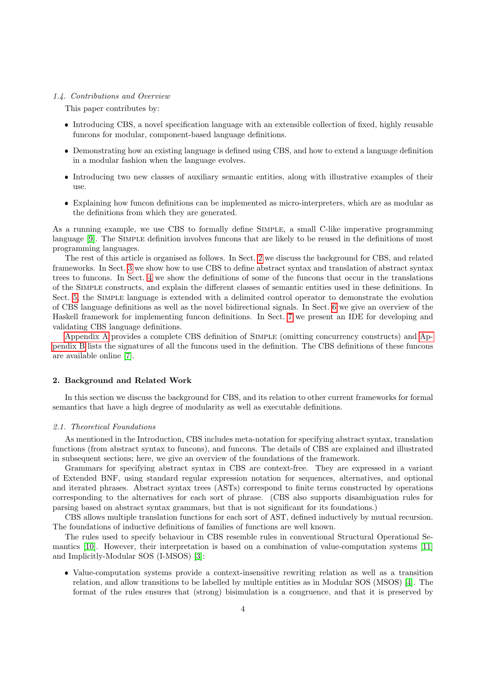#### 1.4. Contributions and Overview

This paper contributes by:

- Introducing CBS, a novel specification language with an extensible collection of fixed, highly reusable funcons for modular, component-based language definitions.
- Demonstrating how an existing language is defined using CBS, and how to extend a language definition in a modular fashion when the language evolves.
- Introducing two new classes of auxiliary semantic entities, along with illustrative examples of their use.
- Explaining how funcon definitions can be implemented as micro-interpreters, which are as modular as the definitions from which they are generated.

As a running example, we use CBS to formally define SIMPLE, a small C-like imperative programming language [\[9\]](#page-27-1). The Simple definition involves funcons that are likely to be reused in the definitions of most programming languages.

The rest of this article is organised as follows. In Sect. [2](#page-3-0) we discuss the background for CBS, and related frameworks. In Sect. [3](#page-5-0) we show how to use CBS to define abstract syntax and translation of abstract syntax trees to funcons. In Sect. [4](#page-7-0) we show the definitions of some of the funcons that occur in the translations of the Simple constructs, and explain the different classes of semantic entities used in these definitions. In Sect. [5,](#page-15-0) the Simple language is extended with a delimited control operator to demonstrate the evolution of CBS language definitions as well as the novel bidirectional signals. In Sect. [6](#page-18-0) we give an overview of the Haskell framework for implementing funcon definitions. In Sect. [7](#page-23-0) we present an IDE for developing and validating CBS language definitions.

[Appendix A](#page-28-0) provides a complete CBS definition of Simple (omitting concurrency constructs) and [Ap](#page-33-0)[pendix B](#page-33-0) lists the signatures of all the funcons used in the definition. The CBS definitions of these funcons are available online [\[7\]](#page-26-6).

## <span id="page-3-0"></span>2. Background and Related Work

In this section we discuss the background for CBS, and its relation to other current frameworks for formal semantics that have a high degree of modularity as well as executable definitions.

#### 2.1. Theoretical Foundations

As mentioned in the Introduction, CBS includes meta-notation for specifying abstract syntax, translation functions (from abstract syntax to funcons), and funcons. The details of CBS are explained and illustrated in subsequent sections; here, we give an overview of the foundations of the framework.

Grammars for specifying abstract syntax in CBS are context-free. They are expressed in a variant of Extended BNF, using standard regular expression notation for sequences, alternatives, and optional and iterated phrases. Abstract syntax trees (ASTs) correspond to finite terms constructed by operations corresponding to the alternatives for each sort of phrase. (CBS also supports disambiguation rules for parsing based on abstract syntax grammars, but that is not significant for its foundations.)

CBS allows multiple translation functions for each sort of AST, defined inductively by mutual recursion. The foundations of inductive definitions of families of functions are well known.

The rules used to specify behaviour in CBS resemble rules in conventional Structural Operational Semantics [\[10\]](#page-27-2). However, their interpretation is based on a combination of value-computation systems [\[11\]](#page-27-3) and Implicitly-Modular SOS (I-MSOS) [\[3\]](#page-26-2):

 Value-computation systems provide a context-insensitive rewriting relation as well as a transition relation, and allow transitions to be labelled by multiple entities as in Modular SOS (MSOS) [\[4\]](#page-26-3). The format of the rules ensures that (strong) bisimulation is a congruence, and that it is preserved by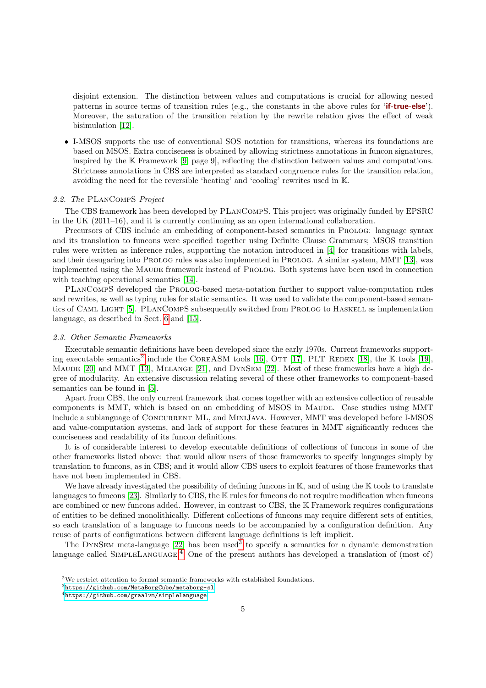disjoint extension. The distinction between values and computations is crucial for allowing nested patterns in source terms of transition rules (e.g., the constants in the above rules for 'if-true-else'). Moreover, the saturation of the transition relation by the rewrite relation gives the effect of weak bisimulation [\[12\]](#page-27-4).

 I-MSOS supports the use of conventional SOS notation for transitions, whereas its foundations are based on MSOS. Extra conciseness is obtained by allowing strictness annotations in funcon signatures, inspired by the K Framework [\[9,](#page-27-1) page 9], reflecting the distinction between values and computations. Strictness annotations in CBS are interpreted as standard congruence rules for the transition relation, avoiding the need for the reversible 'heating' and 'cooling' rewrites used in K.

## 2.2. The PLanCompS Project

The CBS framework has been developed by PLanCompS. This project was originally funded by EPSRC in the UK (2011–16), and it is currently continuing as an open international collaboration.

Precursors of CBS include an embedding of component-based semantics in PROLOG: language syntax and its translation to funcons were specified together using Definite Clause Grammars; MSOS transition rules were written as inference rules, supporting the notation introduced in [\[4\]](#page-26-3) for transitions with labels, and their desugaring into PROLOG rules was also implemented in PROLOG. A similar system, MMT [\[13\]](#page-27-5), was implemented using the Maude framework instead of Prolog. Both systems have been used in connection with teaching operational semantics [\[14\]](#page-27-6).

PLanCompS developed the Prolog-based meta-notation further to support value-computation rules and rewrites, as well as typing rules for static semantics. It was used to validate the component-based semantics of Caml Light [\[5\]](#page-26-4). PLanCompS subsequently switched from Prolog to Haskell as implementation language, as described in Sect. [6](#page-18-0) and [\[15\]](#page-27-7).

#### 2.3. Other Semantic Frameworks

Executable semantic definitions have been developed since the early 1970s. Current frameworks support-ing executable semantics<sup>[2](#page-4-0)</sup> include the COREASM tools [\[16\]](#page-27-8), OTT [\[17\]](#page-27-9), PLT REDEX [\[18\]](#page-27-10), the K tools [\[19\]](#page-27-11), MAUDE [\[20\]](#page-27-12) and MMT [\[13\]](#page-27-5), MELANGE [\[21\]](#page-27-13), and DYNSEM [\[22\]](#page-27-14). Most of these frameworks have a high degree of modularity. An extensive discussion relating several of these other frameworks to component-based semantics can be found in [\[5\]](#page-26-4).

Apart from CBS, the only current framework that comes together with an extensive collection of reusable components is MMT, which is based on an embedding of MSOS in Maude. Case studies using MMT include a sublanguage of CONCURRENT ML, and MINIJAVA. However, MMT was developed before I-MSOS and value-computation systems, and lack of support for these features in MMT significantly reduces the conciseness and readability of its funcon definitions.

It is of considerable interest to develop executable definitions of collections of funcons in some of the other frameworks listed above: that would allow users of those frameworks to specify languages simply by translation to funcons, as in CBS; and it would allow CBS users to exploit features of those frameworks that have not been implemented in CBS.

We have already investigated the possibility of defining funcons in  $K$ , and of using the K tools to translate languages to funcons [\[23\]](#page-27-15). Similarly to CBS, the K rules for funcons do not require modification when funcons are combined or new funcons added. However, in contrast to CBS, the K Framework requires configurations of entities to be defined monolithically. Different collections of funcons may require different sets of entities, so each translation of a language to funcons needs to be accompanied by a configuration definition. Any reuse of parts of configurations between different language definitions is left implicit.

The DYNSEM meta-language  $[22]$  has been used<sup>[3](#page-4-1)</sup> to specify a semantics for a dynamic demonstration language called SIMPLELANGUAGE.<sup>[4](#page-4-2)</sup> One of the present authors has developed a translation of (most of)

<span id="page-4-0"></span> $^2\rm{We}$  restrict attention to formal semantic frameworks with established foundations.

<span id="page-4-1"></span><sup>3</sup><https://github.com/MetaBorgCube/metaborg-sl>

<span id="page-4-2"></span><sup>4</sup><https://github.com/graalvm/simplelanguage>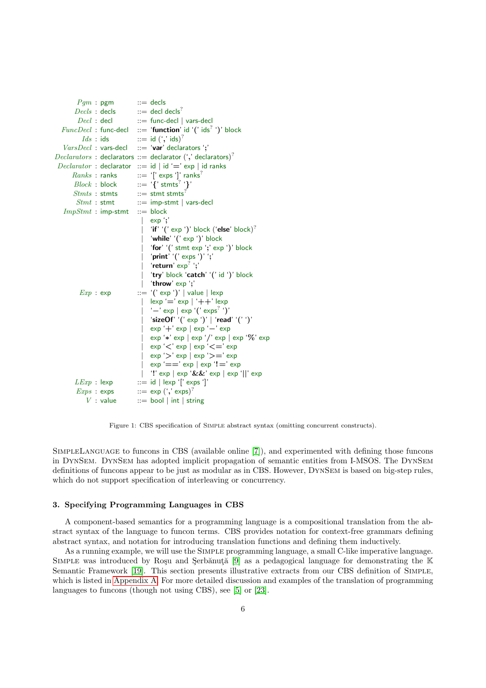$Pgm : \text{pgm}$  ::= decls  $Decls$ : decls  $\qquad ::=$  decl decls<sup>?</sup>  $Decl$  : decl  $\qquad ::=$  func-decl | vars-decl  $FuncDecl$ : func-decl ::= 'function' id '(' ids<sup>?</sup> ')' block  $\textit{lds}$  : ids  $\text{ := id } (\text{'}, \text{'ids})^?$  $VarsDecl:$  vars-decl  $::=$  'var' declarators ';'  $\textit{Declarators} \, : \, \textsf{declarators} \, ::= \, \textsf{declarators} \, \left( {^\prime\mathstrut} ,^\prime \, \textsf{declarators} \right)^?$  $Declarator : declarator ::= id | id :=' exp | id ranks$  $Ranks$  : ranks  $::=$  '[' exps ']' ranks<sup>?</sup>  $Block : block$  ::= '{' stmts<sup>?</sup> '}'  $Stmts$ : stmts  $::=$  stmt stmts<sup>?</sup>  $Stmt :$ stmt  $::=$  imp-stmt | vars-decl  $ImpStmt$  : imp-stmt ::= block | exp ';'  $|$  'if' '(' exp ')' block ('else' block)<sup>?</sup> 'while' '(' exp ')' block 'for' '(' stmt exp ';' exp ')' block 'print' '(' exps ')' ';' | 'return'  $\exp^?$  ';' 'try' block 'catch' '(' id ')' block | 'throw' exp ';'  $Exp : exp$  :  $::= '(' exp ')' | value | lexp$ |  $\exp' = \exp |' + +' \exp$ | '—' exp | exp '(' exps<sup>?</sup> ')' 'sizeOf' '(' $\exp$ ')' | 'read' '('')' exp '+' exp | exp '-' exp | exp '∗' exp | exp '/' exp | exp '%' exp  $\exp ' <' \exp | \exp ' <' =' \exp$  $\exp '$  exp  $\exp '$   $\exp '$   $\exp$  $exp' ==' exp | exp' !=' exp$ '!'  $\exp |\exp \{k\&\&$ '  $\exp |\exp \{|\}$ '  $\exp$  $LExp : \text{lexp}$  :  $::= \text{id} | \text{lexp} ' |' \text{exps} ' |'$  $Express: exps$   $::= exp (\n', exps)^2$  $V :$  value  $V :$  bool | int | string

<span id="page-5-1"></span>Figure 1: CBS specification of Simple abstract syntax (omitting concurrent constructs).

SimpleLanguage to funcons in CBS (available online [\[7\]](#page-26-6)), and experimented with defining those funcons in DynSem. DynSem has adopted implicit propagation of semantic entities from I-MSOS. The DynSem definitions of funcons appear to be just as modular as in CBS. However, DynSem is based on big-step rules, which do not support specification of interleaving or concurrency.

## <span id="page-5-0"></span>3. Specifying Programming Languages in CBS

A component-based semantics for a programming language is a compositional translation from the abstract syntax of the language to funcon terms. CBS provides notation for context-free grammars defining abstract syntax, and notation for introducing translation functions and defining them inductively.

As a running example, we will use the Simple programming language, a small C-like imperative language. SIMPLE was introduced by Roşu and Serbănută  $[9]$  as a pedagogical language for demonstrating the K Semantic Framework [\[19\]](#page-27-11). This section presents illustrative extracts from our CBS definition of Simple, which is listed in [Appendix A.](#page-28-0) For more detailed discussion and examples of the translation of programming languages to funcons (though not using CBS), see [\[5\]](#page-26-4) or [\[23\]](#page-27-15).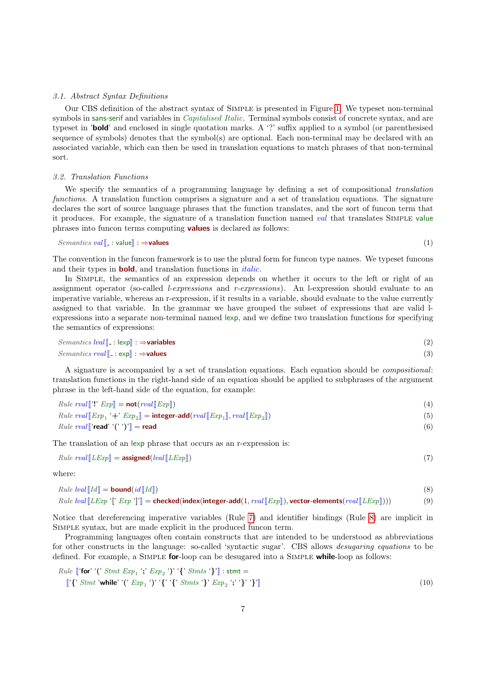#### 3.1. Abstract Syntax Definitions

Our CBS definition of the abstract syntax of Simple is presented in Figure [1.](#page-5-1) We typeset non-terminal symbols in sans-serif and variables in *Capitalised Italic*. Terminal symbols consist of concrete syntax, and are typeset in 'bold' and enclosed in single quotation marks. A '?' suffix applied to a symbol (or parenthesised sequence of symbols) denotes that the symbol(s) are optional. Each non-terminal may be declared with an associated variable, which can then be used in translation equations to match phrases of that non-terminal sort.

#### 3.2. Translation Functions

We specify the semantics of a programming language by defining a set of compositional translation functions. A translation function comprises a signature and a set of translation equations. The signature declares the sort of source language phrases that the function translates, and the sort of funcon term that it produces. For example, the signature of a translation function named  $val$  that translates SIMPLE value phrases into funcon terms computing values is declared as follows:

*Semantics val* 
$$
\llbracket \_
$$
 : **value**  $\parallel$  :  $\Rightarrow$  **values** (1)

<span id="page-6-2"></span><span id="page-6-1"></span><span id="page-6-0"></span>

The convention in the funcon framework is to use the plural form for funcon type names. We typeset funcons and their types in **bold**, and translation functions in *italic*.

In Simple, the semantics of an expression depends on whether it occurs to the left or right of an assignment operator (so-called l-expressions and r-expressions). An l-expression should evaluate to an imperative variable, whereas an r-expression, if it results in a variable, should evaluate to the value currently assigned to that variable. In the grammar we have grouped the subset of expressions that are valid lexpressions into a separate non-terminal named lexp, and we define two translation functions for specifying the semantics of expressions:

*Semantics* 
$$
l\llbracket \_
$$
 :  $l\approx l\llbracket \_$  :  $\Rightarrow$  **variables**\n $Semantics\text{ }rval\llbracket \_$  :  $\Rightarrow$  **values**\n $(3)$ 

A signature is accompanied by a set of translation equations. Each equation should be compositional: translation functions in the right-hand side of an equation should be applied to subphrases of the argument phrase in the left-hand side of the equation, for example:

| <i>Rule rval</i> $\lbrack\!\lbrack\cdot\rbrack\!\rbrack$ <i>Exp</i> $\rbrack\!\rbrack$ = <b>not</b> $(rval \lbrack\!\lbrack Exp \rbrack\!\rbrack)$ |     |
|----------------------------------------------------------------------------------------------------------------------------------------------------|-----|
| <i>Rule rval</i> $\llbracket Exp_1 +' Exp_2 \rrbracket = \text{integer-add}(rval \llbracket Exp_1 \rrbracket, rval \llbracket Exp_2 \rrbracket)$   | (5) |
| <i>Rule rval</i> ['read' '(' ')' = read                                                                                                            | (6) |

The translation of an lexp phrase that occurs as an r-expression is:

 $Rule \: \textit{rval} \left[ \textit{LExp} \right] = \text{assigned} \left( \textit{lval} \left[ \textit{LExp} \right] \right)$  (7)

where:

 $Rule \text{ } [Id] = \text{bound}(id[[Id]])$  (8) *Rule lval*  $[[LExp ']]' = \text{checked}(\text{index}(\text{integer-add}(1, rval [Exp]), \text{vector-elements}(rval [LExp]))$  (9)

Notice that dereferencing imperative variables (Rule [7\)](#page-6-0) and identifier bindings (Rule [8\)](#page-6-1) are implicit in Simple syntax, but are made explicit in the produced funcon term.

Programming languages often contain constructs that are intended to be understood as abbreviations for other constructs in the language: so-called 'syntactic sugar'. CBS allows desugaring equations to be defined. For example, a SIMPLE for-loop can be desugared into a SIMPLE while-loop as follows:

Rule  $\llbracket$ '**for**' '(' Stmt Exp<sub>1</sub>';' Exp<sub>2</sub>')' '{' Stmts '}' $\rrbracket$  : stmt = <sup>J</sup>'{' Stmt 'while' '(' Exp<sup>1</sup> ')' '{' '{' Stmts '}' Exp<sup>2</sup> ';' '}' '}'<sup>K</sup> (10)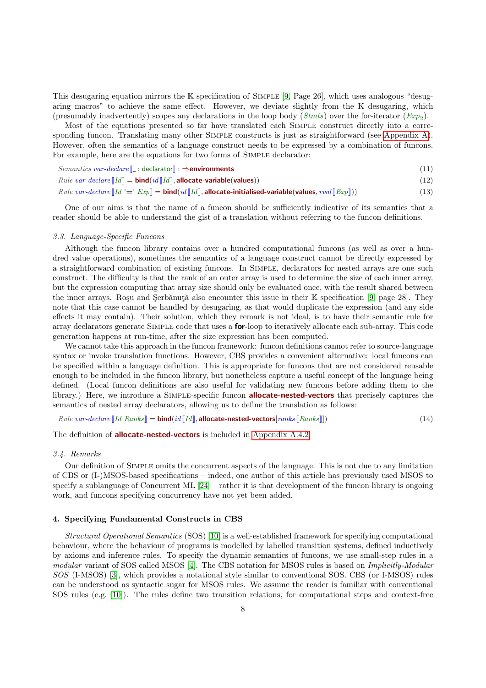This desugaring equation mirrors the K specification of SIMPLE [\[9,](#page-27-1) Page 26], which uses analogous "desugaring macros" to achieve the same effect. However, we deviate slightly from the K desugaring, which (presumably inadvertently) scopes any declarations in the loop body ( $Stmts$ ) over the for-iterator ( $Exp_2$ ).

Most of the equations presented so far have translated each Simple construct directly into a corre-sponding funcon. Translating many other SIMPLE constructs is just as straightforward (see [Appendix A\)](#page-28-0). However, often the semantics of a language construct needs to be expressed by a combination of funcons. For example, here are the equations for two forms of Simple declarator:

Semantics var-declare  $\llbracket \_$  : declarator $\rrbracket$  :  $\Rightarrow$ **environments** (11)<br> *Rule var-declare*  $\llbracket Id \rrbracket = \textbf{bind}(\mathit{id} \llbracket Id \rrbracket, \textbf{alloc-variable}(\textbf{values}))$  (12) *Rule var-declare*  $[[Id]] = \text{bind}(id[[Id]], \text{alloc-variable}(values))$  (12)<br> *Rule var-declare*  $[[Id] \leftharpoons 'Exp]] = \text{bind}(id[[Id]], \text{alloc-ariable-initialised-variable}(values, rval[[Exp]]))$  (13) *Rule var-declare*  $\llbracket Id \rrbracket := Exp \rrbracket = \text{bind}(id \llbracket Id \rrbracket$ , allocate-initialised-variable(values, rval  $\llbracket Exp \rrbracket$ ))

One of our aims is that the name of a funcon should be sufficiently indicative of its semantics that a reader should be able to understand the gist of a translation without referring to the funcon definitions.

#### 3.3. Language-Specific Funcons

Although the funcon library contains over a hundred computational funcons (as well as over a hundred value operations), sometimes the semantics of a language construct cannot be directly expressed by a straightforward combination of existing funcons. In Simple, declarators for nested arrays are one such construct. The difficulty is that the rank of an outer array is used to determine the size of each inner array, but the expression computing that array size should only be evaluated once, with the result shared between the inner arrays. Roşu and Serbănută also encounter this issue in their  $\mathbb K$  specification [\[9,](#page-27-1) page 28]. They note that this case cannot be handled by desugaring, as that would duplicate the expression (and any side effects it may contain). Their solution, which they remark is not ideal, is to have their semantic rule for array declarators generate Simple code that uses a for-loop to iteratively allocate each sub-array. This code generation happens at run-time, after the size expression has been computed.

We cannot take this approach in the funcon framework: funcon definitions cannot refer to source-language syntax or invoke translation functions. However, CBS provides a convenient alternative: local funcons can be specified within a language definition. This is appropriate for funcons that are not considered reusable enough to be included in the funcon library, but nonetheless capture a useful concept of the language being defined. (Local funcon definitions are also useful for validating new funcons before adding them to the library.) Here, we introduce a SIMPLE-specific funcon **allocate-nested-vectors** that precisely captures the semantics of nested array declarators, allowing us to define the translation as follows:

*Rule var-declare*  $\llbracket Id \rrbracket$  *Ranks*  $\llbracket$  **Example 14** and  $(id \llbracket Id \rrbracket$ , **allocate-nested-vectors**  $\llbracket ranks \llbracket$  *Ranks*  $\llbracket$  *(14)* 

The definition of **allocate-nested-vectors** is included in [Appendix A.4.2.](#page-31-0)

#### 3.4. Remarks

Our definition of Simple omits the concurrent aspects of the language. This is not due to any limitation of CBS or (I-)MSOS-based specifications – indeed, one author of this article has previously used MSOS to specify a sublanguage of Concurrent ML [\[24\]](#page-27-16) – rather it is that development of the funcon library is ongoing work, and funcons specifying concurrency have not yet been added.

#### <span id="page-7-0"></span>4. Specifying Fundamental Constructs in CBS

Structural Operational Semantics (SOS) [\[10\]](#page-27-2) is a well-established framework for specifying computational behaviour, where the behaviour of programs is modelled by labelled transition systems, defined inductively by axioms and inference rules. To specify the dynamic semantics of funcons, we use small-step rules in a modular variant of SOS called MSOS [\[4\]](#page-26-3). The CBS notation for MSOS rules is based on *Implicitly-Modular* SOS (I-MSOS) [\[3\]](#page-26-2), which provides a notational style similar to conventional SOS. CBS (or I-MSOS) rules can be understood as syntactic sugar for MSOS rules. We assume the reader is familiar with conventional SOS rules (e.g. [\[10\]](#page-27-2)). The rules define two transition relations, for computational steps and context-free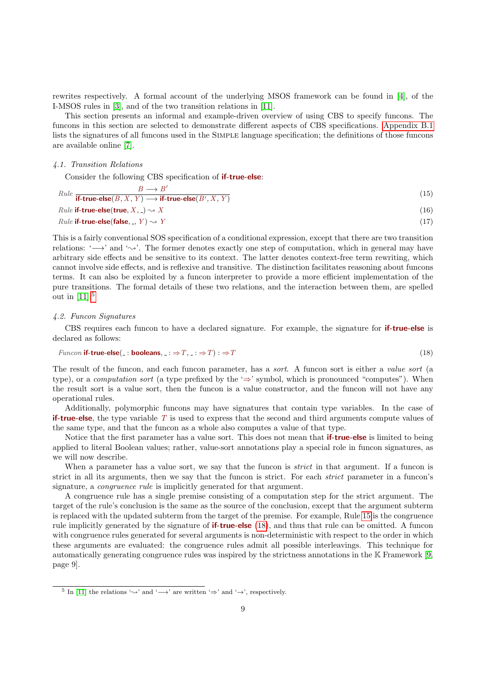rewrites respectively. A formal account of the underlying MSOS framework can be found in [\[4\]](#page-26-3), of the I-MSOS rules in [\[3\]](#page-26-2), and of the two transition relations in [\[11\]](#page-27-3).

This section presents an informal and example-driven overview of using CBS to specify funcons. The funcons in this section are selected to demonstrate different aspects of CBS specifications. [Appendix B.1](#page-33-1) lists the signatures of all funcons used in the Simple language specification; the definitions of those funcons are available online [\[7\]](#page-26-6).

#### <span id="page-8-5"></span>4.1. Transition Relations

<span id="page-8-4"></span><span id="page-8-3"></span><span id="page-8-1"></span>Consider the following CBS specification of if-true-else:

$$
Rule \frac{B \longrightarrow B'}{\textbf{if-true-else}(B, X, Y) \longrightarrow \textbf{if-true-else}(B', X, Y)}
$$
\n
$$
(15)
$$

Rule if-true-else(true, 
$$
X
$$
,  $\_$ )  $\sim X$  (16)

*Rule* if-true-else(false, 
$$
\_
$$
,  $Y$ )  $\sim Y$  (17)

This is a fairly conventional SOS specification of a conditional expression, except that there are two transition relations: ' $\rightarrow$ ' and ' $\rightsquigarrow$ '. The former denotes exactly one step of computation, which in general may have arbitrary side effects and be sensitive to its context. The latter denotes context-free term rewriting, which cannot involve side effects, and is reflexive and transitive. The distinction facilitates reasoning about funcons terms. It can also be exploited by a funcon interpreter to provide a more efficient implementation of the pure transitions. The formal details of these two relations, and the interaction between them, are spelled out in [\[11\]](#page-27-3).<sup>[5](#page-8-0)</sup>

### 4.2. Funcon Signatures

CBS requires each funcon to have a declared signature. For example, the signature for **if-true-else** is declared as follows:

<span id="page-8-2"></span>*Funcon* if-**true-else(**
$$
\underline{\ }:\underline{\ }
$$
**boolean** $\underline{\ }:\underline{\ }:\underline{\ }=\overline{\ }T,\underline{\ }:\underline{\ }=\overline{T}$  $(18)$ 

The result of the funcon, and each funcon parameter, has a *sort*. A funcon sort is either a *value sort* (a type), or a computation sort (a type prefixed by the '⇒' symbol, which is pronounced "computes"). When the result sort is a value sort, then the funcon is a value constructor, and the funcon will not have any operational rules.

Additionally, polymorphic funcons may have signatures that contain type variables. In the case of **if-true-else**, the type variable  $T$  is used to express that the second and third arguments compute values of the same type, and that the funcon as a whole also computes a value of that type.

Notice that the first parameter has a value sort. This does not mean that **if-true-else** is limited to being applied to literal Boolean values; rather, value-sort annotations play a special role in funcon signatures, as we will now describe.

When a parameter has a value sort, we say that the funcon is *strict* in that argument. If a funcon is strict in all its arguments, then we say that the funcon is strict. For each strict parameter in a funcon's signature, a *congruence rule* is implicitly generated for that argument.

A congruence rule has a single premise consisting of a computation step for the strict argument. The target of the rule's conclusion is the same as the source of the conclusion, except that the argument subterm is replaced with the updated subterm from the target of the premise. For example, Rule [15](#page-8-1) is the congruence rule implicitly generated by the signature of **if-true-else** [\(18\)](#page-8-2), and thus that rule can be omitted. A funcon with congruence rules generated for several arguments is non-deterministic with respect to the order in which these arguments are evaluated: the congruence rules admit all possible interleavings. This technique for automatically generating congruence rules was inspired by the strictness annotations in the K Framework [\[9,](#page-27-1) page 9].

<span id="page-8-0"></span><sup>&</sup>lt;sup>5</sup> In [\[11\]](#page-27-3) the relations ' $\sim$ ' and ' $\rightarrow$ ' are written ' $\Rightarrow$ ' and ' $\rightarrow$ ', respectively.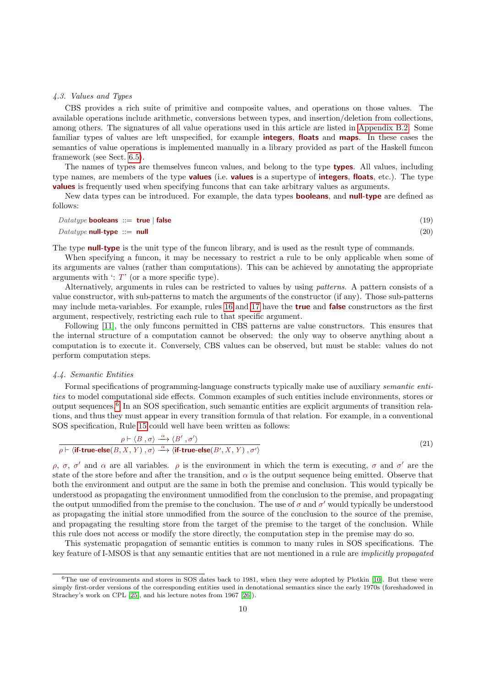#### 4.3. Values and Types

CBS provides a rich suite of primitive and composite values, and operations on those values. The available operations include arithmetic, conversions between types, and insertion/deletion from collections, among others. The signatures of all value operations used in this article are listed in [Appendix B.2.](#page-33-2) Some familiar types of values are left unspecified, for example **integers, floats** and **maps**. In these cases the semantics of value operations is implemented manually in a library provided as part of the Haskell funcon framework (see Sect. [6.5\)](#page-22-0).

The names of types are themselves funcon values, and belong to the type types. All values, including type names, are members of the type **values** (i.e. **values** is a supertype of **integers, floats**, etc.). The type values is frequently used when specifying funcons that can take arbitrary values as arguments.

New data types can be introduced. For example, the data types **booleans**, and **null-type** are defined as follows:

| <i>Datatype</i> <b>booleans</b> ::= <b>true</b>   <b>false</b> | (19)           |
|----------------------------------------------------------------|----------------|
| <i>Datatype</i> <b>null-type</b> ::= <b>null</b>               | $^{\prime}20)$ |

The type **null-type** is the unit type of the funcon library, and is used as the result type of commands.

When specifying a funcon, it may be necessary to restrict a rule to be only applicable when some of its arguments are values (rather than computations). This can be achieved by annotating the appropriate arguments with  $\cdot$ : T' (or a more specific type).

Alternatively, arguments in rules can be restricted to values by using patterns. A pattern consists of a value constructor, with sub-patterns to match the arguments of the constructor (if any). Those sub-patterns may include meta-variables. For example, rules [16](#page-8-3) and [17](#page-8-4) have the **true** and **false** constructors as the first argument, respectively, restricting each rule to that specific argument.

Following [\[11\]](#page-27-3), the only funcons permitted in CBS patterns are value constructors. This ensures that the internal structure of a computation cannot be observed: the only way to observe anything about a computation is to execute it. Conversely, CBS values can be observed, but must be stable: values do not perform computation steps.

### <span id="page-9-2"></span>4.4. Semantic Entities

Formal specifications of programming-language constructs typically make use of auxiliary semantic entities to model computational side effects. Common examples of such entities include environments, stores or output sequences.[6](#page-9-0) In an SOS specification, such semantic entities are explicit arguments of transition relations, and thus they must appear in every transition formula of that relation. For example, in a conventional SOS specification, Rule [15](#page-8-1) could well have been written as follows:

<span id="page-9-1"></span>
$$
\frac{\rho \vdash \langle B, \sigma \rangle \xrightarrow{\alpha} \langle B', \sigma' \rangle}{\rho \vdash \langle \text{if-true-else}(B, X, Y), \sigma \rangle \xrightarrow{\alpha} \langle \text{if-true-else}(B', X, Y), \sigma' \rangle}
$$
\n(21)

 $ρ, σ, σ'$  and  $α$  are all variables.  $ρ$  is the environment in which the term is executing,  $σ$  and  $σ'$  are the state of the store before and after the transition, and  $\alpha$  is the output sequence being emitted. Observe that both the environment and output are the same in both the premise and conclusion. This would typically be understood as propagating the environment unmodified from the conclusion to the premise, and propagating the output unmodified from the premise to the conclusion. The use of  $\sigma$  and  $\sigma'$  would typically be understood as propagating the initial store unmodified from the source of the conclusion to the source of the premise, and propagating the resulting store from the target of the premise to the target of the conclusion. While this rule does not access or modify the store directly, the computation step in the premise may do so.

This systematic propagation of semantic entities is common to many rules in SOS specifications. The key feature of I-MSOS is that any semantic entities that are not mentioned in a rule are implicitly propagated

<span id="page-9-0"></span><sup>6</sup>The use of environments and stores in SOS dates back to 1981, when they were adopted by Plotkin [\[10\]](#page-27-2). But these were simply first-order versions of the corresponding entities used in denotational semantics since the early 1970s (foreshadowed in Strachey's work on CPL [\[25\]](#page-27-17), and his lecture notes from 1967 [\[26\]](#page-27-18)).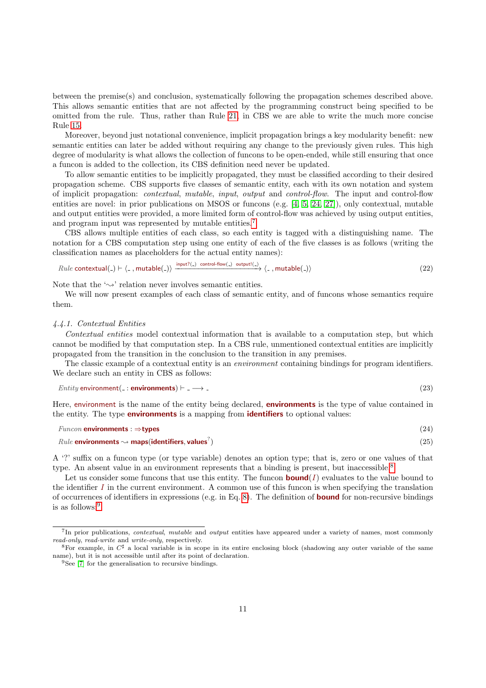between the premise(s) and conclusion, systematically following the propagation schemes described above. This allows semantic entities that are not affected by the programming construct being specified to be omitted from the rule. Thus, rather than Rule [21,](#page-9-1) in CBS we are able to write the much more concise Rule [15.](#page-8-1)

Moreover, beyond just notational convenience, implicit propagation brings a key modularity benefit: new semantic entities can later be added without requiring any change to the previously given rules. This high degree of modularity is what allows the collection of funcons to be open-ended, while still ensuring that once a funcon is added to the collection, its CBS definition need never be updated.

To allow semantic entities to be implicitly propagated, they must be classified according to their desired propagation scheme. CBS supports five classes of semantic entity, each with its own notation and system of implicit propagation: contextual, mutable, input, output and control-flow. The input and control-flow entities are novel: in prior publications on MSOS or funcons (e.g. [\[4,](#page-26-3) [5,](#page-26-4) [24,](#page-27-16) [27\]](#page-27-19)), only contextual, mutable and output entities were provided, a more limited form of control-flow was achieved by using output entities, and program input was represented by mutable entities.[7](#page-10-0)

CBS allows multiple entities of each class, so each entity is tagged with a distinguishing name. The notation for a CBS computation step using one entity of each of the five classes is as follows (writing the classification names as placeholders for the actual entity names):

$$
Rule \text{ contextual}(\_) \vdash \langle \_, \text{mutable}(\_) \rangle \xrightarrow{\text{input?}(\_)} \text{control-flow}(\_) \text{ output!}(\_) \langle \_, \text{mutable}(\_) \rangle
$$
\n
$$
\langle \_ \text{output}(1) \rangle \xrightarrow{\text{output?}(\_)} \langle \_ \text{output}(22) \rangle
$$

Note that the  $\sim$  relation never involves semantic entities.

We will now present examples of each class of semantic entity, and of funcons whose semantics require them.

#### 4.4.1. Contextual Entities

Contextual entities model contextual information that is available to a computation step, but which cannot be modified by that computation step. In a CBS rule, unmentioned contextual entities are implicitly propagated from the transition in the conclusion to the transition in any premises.

The classic example of a contextual entity is an *environment* containing bindings for program identifiers. We declare such an entity in CBS as follows:

*Entity environment*(
$$
\_
$$
: **environments**)  $\vdash$   $\_$   $\longrightarrow$   $\_$  (23)

Here, environment is the name of the entity being declared, **environments** is the type of value contained in the entity. The type **environments** is a mapping from **identifiers** to optional values:

$$
Funcon \textbf{ environments}: \Rightarrow \textbf{types} \tag{24}
$$

<span id="page-10-3"></span>*Rule* environments  $\sim$  maps(identifiers, values<sup>?</sup>) )  $(25)$ 

A '?' suffix on a funcon type (or type variable) denotes an option type; that is, zero or one values of that type. An absent value in an environment represents that a binding is present, but inaccessible.<sup>[8](#page-10-1)</sup>

Let us consider some funcons that use this entity. The funcon **bound**(I) evaluates to the value bound to the identifier  $I$  in the current environment. A common use of this funcon is when specifying the translation of occurrences of identifiers in expressions (e.g. in Eq. [8\)](#page-6-1). The definition of **bound** for non-recursive bindings is as follows:[9](#page-10-2)

<span id="page-10-0"></span><sup>&</sup>lt;sup>7</sup>In prior publications, *contextual, mutable* and *output* entities have appeared under a variety of names, most commonly read-only, read-write and write-only, respectively.

<span id="page-10-1"></span><sup>&</sup>lt;sup>8</sup>For example, in  $C^{\sharp}$  a local variable is in scope in its entire enclosing block (shadowing any outer variable of the same name), but it is not accessible until after its point of declaration.

<span id="page-10-2"></span><sup>9</sup>See [\[7\]](#page-26-6) for the generalisation to recursive bindings.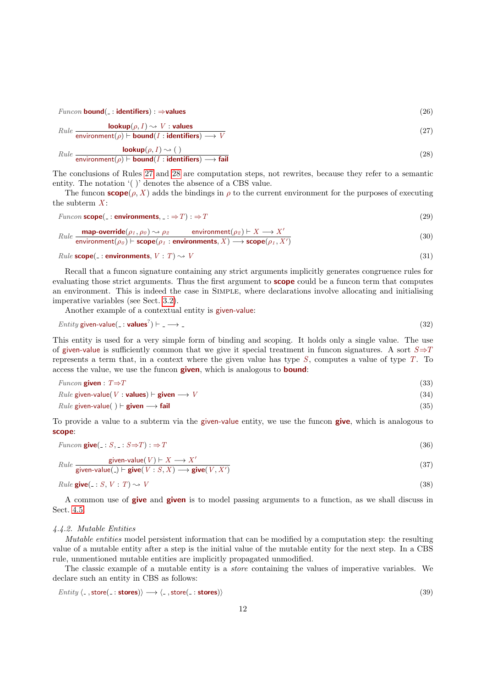$Funcon$  bound( $\text{\_}:$  identifiers) :  $\Rightarrow$  values (26)

$$
Rule \frac{\text{lookup}(\rho, I) \rightsquigarrow V : \text{values}}{\text{environment}(\rho) \vdash \text{bound}(I : \text{identifiers}) \longrightarrow V}
$$
\n(27)

$$
Rule \frac{\textbf{lookup}(\rho, I) \rightsquigarrow ()}{\textbf{environment}(\rho) \vdash \textbf{bound}(I : \textbf{identifiers}) \longrightarrow \textbf{fail}} \tag{28}
$$

The conclusions of Rules [27](#page-11-0) and [28](#page-11-1) are computation steps, not rewrites, because they refer to a semantic entity. The notation '( )' denotes the absence of a CBS value.

The funcon  $\mathbf{scope}(\rho, X)$  adds the bindings in  $\rho$  to the current environment for the purposes of executing the subterm  $X$ :

$$
Funcon \textbf{ scope}(\_\text{=}:\text{environments},\_\text{=}:\Rightarrow T):\Rightarrow T
$$
\n
$$
(29)
$$

*Rule* 
$$
\frac{\text{map-override}(\rho_1, \rho_0) \rightsquigarrow \rho_2}{\text{environment}(\rho_0) \vdash \text{scope}(\rho_1 : \text{environment}, X) \longrightarrow \text{scope}(\rho_1, X')} \tag{30}
$$

*Rule* scope(1: environments, 
$$
V: T) \rightarrow V
$$
 (31)

Recall that a funcon signature containing any strict arguments implicitly generates congruence rules for evaluating those strict arguments. Thus the first argument to **scope** could be a funcon term that computes an environment. This is indeed the case in Simple, where declarations involve allocating and initialising imperative variables (see Sect. [3.2\)](#page-6-2).

Another example of a contextual entity is given-value:

*Entity* given-value(
$$
\_
$$
: **values**<sup>?</sup>)  $\vdash$   $\_$   $\longrightarrow$   $\_$  (32)

This entity is used for a very simple form of binding and scoping. It holds only a single value. The use of given-value is sufficiently common that we give it special treatment in funcon signatures. A sort  $S \Rightarrow T$ represents a term that, in a context where the given value has type  $S$ , computes a value of type  $T$ . To access the value, we use the funcon given, which is analogous to **bound**:

$$
Funcon \textbf{ given}: T \Rightarrow T
$$
\n
$$
Rule \textbf{ given}-value(V: \textbf{values}) \vdash \textbf{given} \longrightarrow V
$$
\n
$$
(33)
$$
\n
$$
(34)
$$

$$
Rule given-value() \vdash given \longrightarrow fail
$$
 (35)

To provide a value to a subterm via the given-value entity, we use the funcon give, which is analogous to scope:

$$
Funcon \mathbf{ give} (\texttt{.}: S, \texttt{.}: S \Rightarrow T) : \Rightarrow T
$$
\n
$$
(36)
$$

Rule 
$$
\frac{\text{given-value}(V) \vdash X \longrightarrow X'}{\text{given-value}(\_) \vdash \text{give}(V : S, X) \longrightarrow \text{give}(V, X')}
$$
 (37)

$$
Rule \textbf{ give} (\textcolor{red}{\cdot} : S, V : T) \sim V \tag{38}
$$

A common use of **give** and **given** is to model passing arguments to a function, as we shall discuss in Sect. [4.5.](#page-14-0)

#### 4.4.2. Mutable Entities

Mutable entities model persistent information that can be modified by a computation step: the resulting value of a mutable entity after a step is the initial value of the mutable entity for the next step. In a CBS rule, unmentioned mutable entities are implicitly propagated unmodified.

The classic example of a mutable entity is a *store* containing the values of imperative variables. We declare such an entity in CBS as follows:

$$
Entity \langle \_ , store(\_ : \mathsf{store}) \rangle \longrightarrow \langle \_ , store(\_ : \mathsf{store}) \rangle \tag{39}
$$

```
(27)
```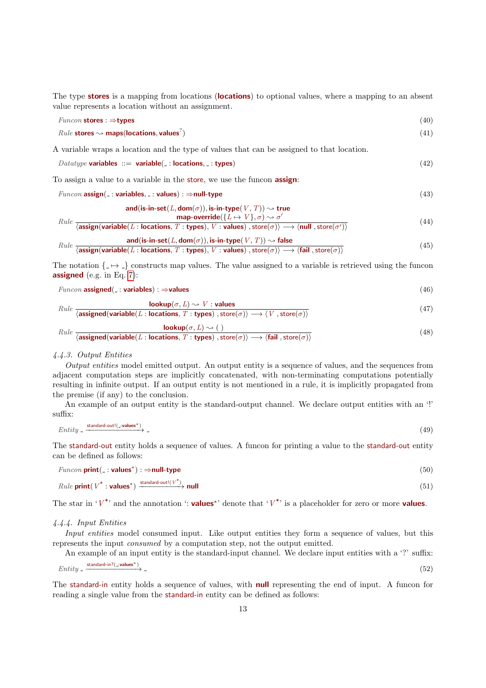The type stores is a mapping from locations (locations) to optional values, where a mapping to an absent value represents a location without an assignment.

| $Funcon$ stores : $\Rightarrow$ types |  |  |  |
|---------------------------------------|--|--|--|
|---------------------------------------|--|--|--|

| <i>Rule</i> stores $\rightsquigarrow$ maps(locations, values <sup>1</sup> ) |  |
|-----------------------------------------------------------------------------|--|
|                                                                             |  |

A variable wraps a location and the type of values that can be assigned to that location.

$$
Database ::= variable(\_ : locations, \_ :types)
$$
\n
$$
(42)
$$

To assign a value to a variable in the store, we use the funcon assign:

$$
Funcon \; \text{assign}(\_\text{1} : \text{variables}, \_\text{2} : \text{values}) : \Rightarrow \text{null-type} \tag{43}
$$

and(is-in-set(
$$
L
$$
, dom( $\sigma$ )), is-in-type( $V$ ,  $T$ ))  $\sim$  true  
map-override( $\{L \mapsto V\}$ ,  $\sigma$ )  $\sim \sigma'$ 

hassign(variable(L : locations, T : types), V : values) ,store(σ)i −→ hnull ,store(σ<sup>0</sup>)i (44)

$$
Rule \frac{\text{and}(\text{is-in-set}(L, \text{dom}(\sigma)), \text{is-in-type}(V, T)) \rightsquigarrow \text{false}}{\langle \text{assign}(\text{variable}(L : \text{locations}, T : \text{types}), V : \text{values}) , \text{store}(\sigma) \rangle \longrightarrow \langle \text{fail} , \text{store}(\sigma) \rangle}
$$
(45)

The notation  $\{\rightarrow\}$  constructs map values. The value assigned to a variable is retrieved using the funcon assigned (e.g. in Eq. [7\)](#page-6-0):

$$
Funcon \text{ assigned}(\_ : \text{variables}) : \Rightarrow \text{values} \tag{46}
$$

*Rule* 
$$
\frac{\textbf{lookup}(\sigma, L) \rightsquigarrow V : \textbf{values}}{\langle \textbf{assigned}(\textbf{variable}(L : \textbf{locations}, T : \textbf{types}) , \textbf{store}(\sigma) \rangle \longrightarrow \langle V , \textbf{store}(\sigma) \rangle}
$$
 (47)

*Rule* 
$$
\overline{\langle \text{assigned}(\text{variable}(L: \text{locations}, T: \text{types}) , \text{store}(\sigma) \rangle} \longrightarrow \langle \text{fail} , \text{store}(\sigma) \rangle
$$
 (48)

## 4.4.3. Output Entities

Rule

Output entities model emitted output. An output entity is a sequence of values, and the sequences from adjacent computation steps are implicitly concatenated, with non-terminating computations potentially resulting in infinite output. If an output entity is not mentioned in a rule, it is implicitly propagated from the premise (if any) to the conclusion.

An example of an output entity is the standard-output channel. We declare output entities with an '!' suffix:

$$
Entity \xrightarrow{\text{standard-out!}(\text{\_values}^*)} \xrightarrow{\text{}} \tag{49}
$$

The standard-out entity holds a sequence of values. A funcon for printing a value to the standard-out entity can be defined as follows:

| $Funcon$ print(_: values <sup>*</sup> ) : $\Rightarrow$ null-type                          | $\left( 50\right)$ |
|--------------------------------------------------------------------------------------------|--------------------|
| $Rule$ print( $V^*$ : values <sup>*</sup> ) $\xrightarrow{\text{standard-out!}(V^*)}$ null | (51)               |

The star in  $V^*$  and the annotation  $\cdot$ : values<sup>\*</sup> denote that  $V^*$  is a placeholder for zero or more values.

## 4.4.4. Input Entities

Input entities model consumed input. Like output entities they form a sequence of values, but this represents the input consumed by a computation step, not the output emitted.

An example of an input entity is the standard-input channel. We declare input entities with a '?' suffix: Entity standard-in?( :values∗)

$$
Entity \_ \xrightarrow{\text{standard-in}\,(1\text{--values}^{\vee})}
$$

The standard-in entity holds a sequence of values, with **null** representing the end of input. A funcon for reading a single value from the standard-in entity can be defined as follows: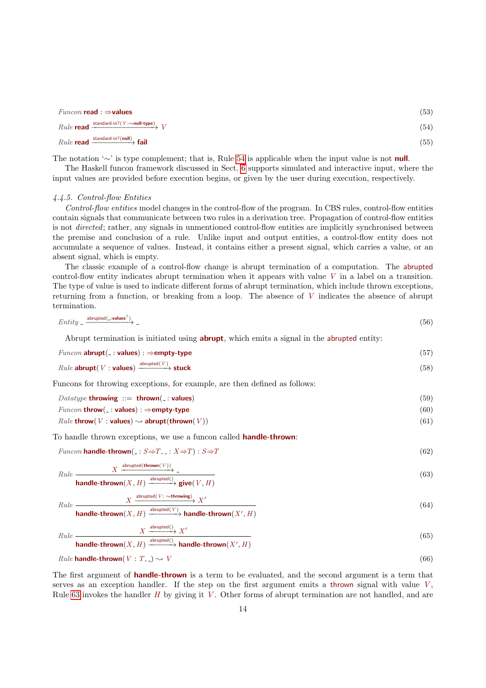<span id="page-13-0"></span>

| <i>Funcon</i> <b>read</b> : $\Rightarrow$ <b>values</b>                              | (53) |
|--------------------------------------------------------------------------------------|------|
| $Rule \textbf{ read } \xrightarrow{\text{standard-in?}(V:\sim\textbf{null-type})} V$ | (54) |
| $Rule \text{ read } \xrightarrow{\text{standard-in?}(\text{null})} \text{fail}$      | (55) |

The notation '∼' is type complement; that is, Rule [54](#page-13-0) is applicable when the input value is not **null**.

The Haskell funcon framework discussed in Sect. [6](#page-18-0) supports simulated and interactive input, where the input values are provided before execution begins, or given by the user during execution, respectively.

## <span id="page-13-5"></span>4.4.5. Control-flow Entities

Control-flow entities model changes in the control-flow of the program. In CBS rules, control-flow entities contain signals that communicate between two rules in a derivation tree. Propagation of control-flow entities is not *directed*; rather, any signals in unmentioned control-flow entities are implicitly synchronised between the premise and conclusion of a rule. Unlike input and output entities, a control-flow entity does not accumulate a sequence of values. Instead, it contains either a present signal, which carries a value, or an absent signal, which is empty.

The classic example of a control-flow change is abrupt termination of a computation. The abrupted control-flow entity indicates abrupt termination when it appears with value  $V$  in a label on a transition. The type of value is used to indicate different forms of abrupt termination, which include thrown exceptions, returning from a function, or breaking from a loop. The absence of  $V$  indicates the absence of abrupt termination.

$$
Entity \_ \xrightarrow{\text{abrupted}(\_ \cdot \text{values}^?)} \_ \tag{56}
$$

Abrupt termination is initiated using **abrupt**, which emits a signal in the abrupted entity:

| $Funcon$ abrupt(_: values) : $\Rightarrow$ empty-type                           |      |
|---------------------------------------------------------------------------------|------|
| <i>Rule</i> abrupt( <i>V</i> : values) $\xrightarrow{\text{abrupted}(V)}$ stuck | (58) |

Funcons for throwing exceptions, for example, are then defined as follows:

| <i>Datatype</i> <b>throwing</b> ::= <b>thrown</b> ( <b>values</b> )                 | (59) |
|-------------------------------------------------------------------------------------|------|
| $Funcon$ throw(_: values) : $\Rightarrow$ empty-type                                | (60) |
| <i>Rule</i> throw( <i>V</i> : values) $\rightsquigarrow$ abrupt(thrown( <i>V</i> )) | (61) |

To handle thrown exceptions, we use a funcon called handle-thrown:

*Funcon* **handle-through** 
$$
(\angle : S \Rightarrow T, \angle : X \Rightarrow T)
$$
  $\therefore S \Rightarrow T$  (62)

<span id="page-13-1"></span>Rule <sup>X</sup> abrupted(thrown(V )) −−−−−−−−−−−−→ (63)

**handle-thrown**
$$
(X, H)
$$
  $\xrightarrow{\text{abrupted}}(\bigvee)$  **give** $(V, H)$ 

Rule\n
$$
Rule \xrightarrow{\text{Arupted}(V: \sim \text{throwing})} X'
$$
\nhandle-thrown(X, H)  $\xrightarrow{\text{abrupted}(V)}$  handle-thrown(X', H)

\n(64)

<span id="page-13-4"></span><span id="page-13-3"></span><span id="page-13-2"></span>*Rule* 
$$
\xrightarrow{\text{Brupet}(i)} X'
$$
  
handle-thrown $(X, H)$   $\xrightarrow{\text{abrupted}(i)} \text{handle-thrown}(X', H)$  (65)

*Rule* handle-through 
$$
(V : T, \_) \rightarrow V
$$
 (66)

The first argument of **handle-thrown** is a term to be evaluated, and the second argument is a term that serves as an exception handler. If the step on the first argument emits a thrown signal with value  $V$ , Rule [63](#page-13-1) invokes the handler  $H$  by giving it  $V$ . Other forms of abrupt termination are not handled, and are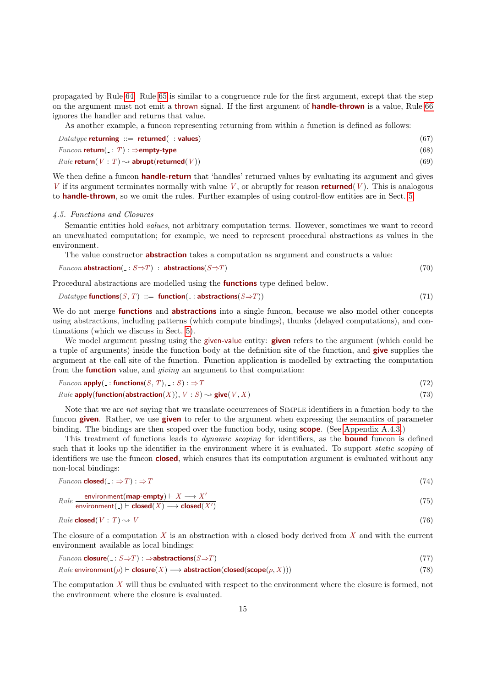propagated by Rule [64.](#page-13-2) Rule [65](#page-13-3) is similar to a congruence rule for the first argument, except that the step on the argument must not emit a thrown signal. If the first argument of **handle-thrown** is a value. Rule [66](#page-13-4) ignores the handler and returns that value.

<span id="page-14-4"></span>As another example, a funcon representing returning from within a function is defined as follows:

| $Database$ returning ::= returned(.: values)                              | (67) |
|---------------------------------------------------------------------------|------|
| $Funcon$ return(_: T) : $\Rightarrow$ empty-type                          | (68) |
| <i>Rule return</i> ( $V : T$ ) $\rightsquigarrow$ abrupt(returned( $V$ )) | (69) |

We then define a funcon **handle-return** that 'handles' returned values by evaluating its argument and gives V if its argument terminates normally with value V, or abruptly for reason **returned**(V). This is analogous to handle-thrown, so we omit the rules. Further examples of using control-flow entities are in Sect. [5.](#page-15-0)

#### <span id="page-14-0"></span>4.5. Functions and Closures

Semantic entities hold values, not arbitrary computation terms. However, sometimes we want to record an unevaluated computation; for example, we need to represent procedural abstractions as values in the environment.

<span id="page-14-3"></span>The value constructor **abstraction** takes a computation as argument and constructs a value:

$$
Funcon \; \mathbf{abstraction}(\_\text{S} \Rightarrow T) \; : \; \mathbf{abstractions}(S \Rightarrow T) \tag{70}
$$

Procedural abstractions are modelled using the **functions** type defined below.

 $Database(S, T) ::= function(\text{1}) \cdot \text{abstractions}(S \Rightarrow T))$  (71)

We do not merge **functions** and **abstractions** into a single funcon, because we also model other concepts using abstractions, including patterns (which compute bindings), thunks (delayed computations), and continuations (which we discuss in Sect. [5\)](#page-15-0).

We model argument passing using the given-value entity: **given** refers to the argument (which could be a tuple of arguments) inside the function body at the definition site of the function, and give supplies the argument at the call site of the function. Function application is modelled by extracting the computation from the **function** value, and *giving* an argument to that computation:

<span id="page-14-2"></span><span id="page-14-1"></span>
$$
Funcon apply( : functions(S, T), . : S) : \Rightarrow T
$$
\n
$$
(72)
$$

 $Rule$  apply(function(abstraction(X)),  $V : S \rightarrow$  give( $V, X$ ) (73)

Note that we are not saying that we translate occurrences of SIMPLE identifiers in a function body to the funcon **given**. Rather, we use **given** to refer to the argument when expressing the semantics of parameter binding. The bindings are then scoped over the function body, using **scope**. (See [Appendix A.4.3.](#page-31-1))

This treatment of functions leads to *dynamic scoping* for identifiers, as the **bound** funcon is defined such that it looks up the identifier in the environment where it is evaluated. To support *static scoping* of identifiers we use the funcon **closed**, which ensures that its computation argument is evaluated without any non-local bindings:

$$
Funcon \mathbf{closed}(\_\cdot \colon \Rightarrow T) : \Rightarrow T \tag{74}
$$

*Rule* 
$$
\frac{\text{environment}(\text{map-empty}) \vdash X \longrightarrow X'}{\text{environment}(\_) \vdash \text{closed}(X) \longrightarrow \text{closed}(X')}
$$
 (75)

$$
Rule \mathbf{ closed}(\,V: T) \rightsquigarrow \,V \tag{76}
$$

The closure of a computation  $X$  is an abstraction with a closed body derived from  $X$  and with the current environment available as local bindings:

$$
Funcon \text{ closure}(\texttt{=} : S \Rightarrow T) : \Rightarrow \text{abstractions}(S \Rightarrow T)
$$
\n
$$
(77)
$$

*Rule environment*(
$$
\rho
$$
)  $\vdash$  **closure**( $X$ )  $\longrightarrow$  **abstraction**(**closed**(**scope**( $\rho, X$ ))) 
$$
(78)
$$

The computation X will thus be evaluated with respect to the environment where the closure is formed, not the environment where the closure is evaluated.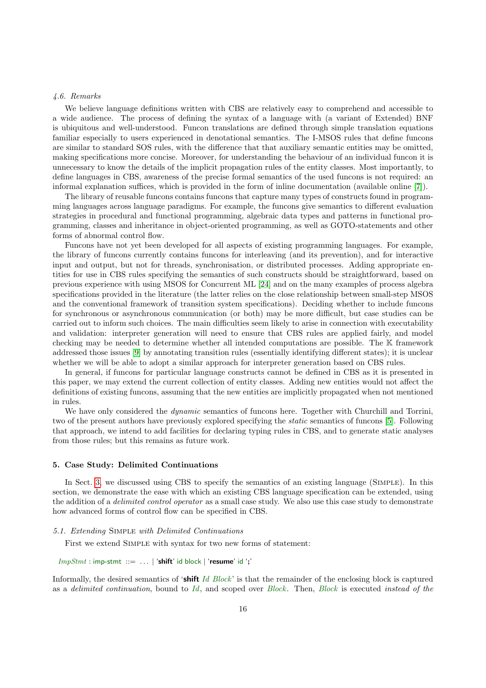#### 4.6. Remarks

We believe language definitions written with CBS are relatively easy to comprehend and accessible to a wide audience. The process of defining the syntax of a language with (a variant of Extended) BNF is ubiquitous and well-understood. Funcon translations are defined through simple translation equations familiar especially to users experienced in denotational semantics. The I-MSOS rules that define funcons are similar to standard SOS rules, with the difference that that auxiliary semantic entities may be omitted, making specifications more concise. Moreover, for understanding the behaviour of an individual funcon it is unnecessary to know the details of the implicit propagation rules of the entity classes. Most importantly, to define languages in CBS, awareness of the precise formal semantics of the used funcons is not required: an informal explanation suffices, which is provided in the form of inline documentation (available online [\[7\]](#page-26-6)).

The library of reusable funcons contains funcons that capture many types of constructs found in programming languages across language paradigms. For example, the funcons give semantics to different evaluation strategies in procedural and functional programming, algebraic data types and patterns in functional programming, classes and inheritance in object-oriented programming, as well as GOTO-statements and other forms of abnormal control flow.

Funcons have not yet been developed for all aspects of existing programming languages. For example, the library of funcons currently contains funcons for interleaving (and its prevention), and for interactive input and output, but not for threads, synchronisation, or distributed processes. Adding appropriate entities for use in CBS rules specifying the semantics of such constructs should be straightforward, based on previous experience with using MSOS for Concurrent ML [\[24\]](#page-27-16) and on the many examples of process algebra specifications provided in the literature (the latter relies on the close relationship between small-step MSOS and the conventional framework of transition system specifications). Deciding whether to include funcons for synchronous or asynchronous communication (or both) may be more difficult, but case studies can be carried out to inform such choices. The main difficulties seem likely to arise in connection with executability and validation: interpreter generation will need to ensure that CBS rules are applied fairly, and model checking may be needed to determine whether all intended computations are possible. The K framework addressed those issues [\[9\]](#page-27-1) by annotating transition rules (essentially identifying different states); it is unclear whether we will be able to adopt a similar approach for interpreter generation based on CBS rules.

In general, if funcons for particular language constructs cannot be defined in CBS as it is presented in this paper, we may extend the current collection of entity classes. Adding new entities would not affect the definitions of existing funcons, assuming that the new entities are implicitly propagated when not mentioned in rules.

We have only considered the *dynamic* semantics of funcons here. Together with Churchill and Torrini, two of the present authors have previously explored specifying the static semantics of funcons [\[5\]](#page-26-4). Following that approach, we intend to add facilities for declaring typing rules in CBS, and to generate static analyses from those rules; but this remains as future work.

#### <span id="page-15-0"></span>5. Case Study: Delimited Continuations

In Sect. [3,](#page-5-0) we discussed using CBS to specify the semantics of an existing language (SIMPLE). In this section, we demonstrate the ease with which an existing CBS language specification can be extended, using the addition of a delimited control operator as a small case study. We also use this case study to demonstrate how advanced forms of control flow can be specified in CBS.

### 5.1. Extending Simple with Delimited Continuations

First we extend Simple with syntax for two new forms of statement:

 $ImpStmt : imp-stmt ::= ... | 'shift' id block | 'resume' id';'$ 

Informally, the desired semantics of 'shift Id Block' is that the remainder of the enclosing block is captured as a delimited continuation, bound to Id, and scoped over Block. Then, Block is executed instead of the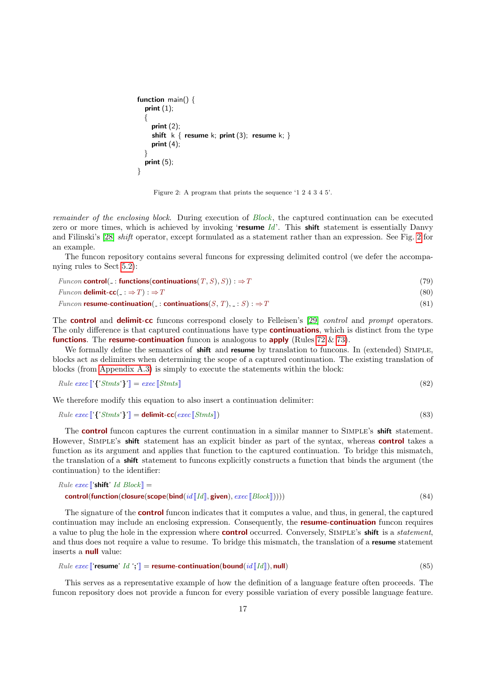```
function main() {
  print (1);
  {
    print (2):
    shift k \{ resume k; print (3); resume k; \}print (4);
  }
  print (5);
}
```
<span id="page-16-0"></span>Figure 2: A program that prints the sequence '1 2 4 3 4 5'.

remainder of the enclosing block. During execution of Block, the captured continuation can be executed zero or more times, which is achieved by invoking 'resume  $Id'$ . This shift statement is essentially Danvy and Filinski's [\[28\]](#page-27-20) shift operator, except formulated as a statement rather than an expression. See Fig. [2](#page-16-0) for an example.

The funcon repository contains several funcons for expressing delimited control (we defer the accompanying rules to Sect [5.2\)](#page-17-0):

| <i>Funcon</i> control(.: functions(continuations(T, S), S)) : $\Rightarrow$ T |  |  |
|-------------------------------------------------------------------------------|--|--|
|-------------------------------------------------------------------------------|--|--|

*Funcon* **delimit-cc**
$$
(\_: \Rightarrow T)
$$
 :  $\Rightarrow T$  (80)

 $Funcon$  resume-continuation( : continuations(  $S, T$ ),  $\Rightarrow$   $S$ ) :  $\Rightarrow$   $T$  (81)

The **control** and **delimit-cc** funcons correspond closely to Felleisen's [\[29\]](#page-27-21) *control* and *prompt* operators. The only difference is that captured continuations have type **continuations**, which is distinct from the type **functions.** The **resume-continuation** funcon is analogous to **apply** (Rules [72](#page-14-1)  $\&$  [73\)](#page-14-2).

We formally define the semantics of **shift** and resume by translation to funcons. In (extended) SIMPLE, blocks act as delimiters when determining the scope of a captured continuation. The existing translation of blocks (from [Appendix A.3\)](#page-30-0) is simply to execute the statements within the block:

$$
Rule\,\,exec\, [\lbrack \{ 'Stmts' \}\rbrack] = exec\, [\![Stmts]\!]
$$
\n
$$
(82)
$$

We therefore modify this equation to also insert a continuation delimiter:

$$
Rule\,\,exec\, [\lbrack \lbrack 'Stmts \rbrack \rbrack] = \text{delimit-cc}(\,exec\, [\lbrack Stmts \rbrack]) \tag{83}
$$

The **control** funcon captures the current continuation in a similar manner to SIMPLE's **shift** statement. However, SIMPLE's shift statement has an explicit binder as part of the syntax, whereas control takes a function as its argument and applies that function to the captured continuation. To bridge this mismatch, the translation of a shift statement to funcons explicitly constructs a function that binds the argument (the continuation) to the identifier:

*Rule exec* 
$$
["\text{shift}'\ Id\ Block]
$$
 =  
control(function(closure(scope(bind(id[[Id]], given), exec[[Block]])))) (84)

The signature of the **control** funcon indicates that it computes a value, and thus, in general, the captured continuation may include an enclosing expression. Consequently, the **resume-continuation** funcon requires a value to plug the hole in the expression where **control** occurred. Conversely, SIMPLE's shift is a *statement*, and thus does not require a value to resume. To bridge this mismatch, the translation of a resume statement inserts a null value:

*Rule exec* 
$$
[['
$$
 **resume'**  $Id'$ ;  $]]$  = **resume-continuation(bound** $(id[[Id]])$ , **null** $)$  (85)

This serves as a representative example of how the definition of a language feature often proceeds. The funcon repository does not provide a funcon for every possible variation of every possible language feature.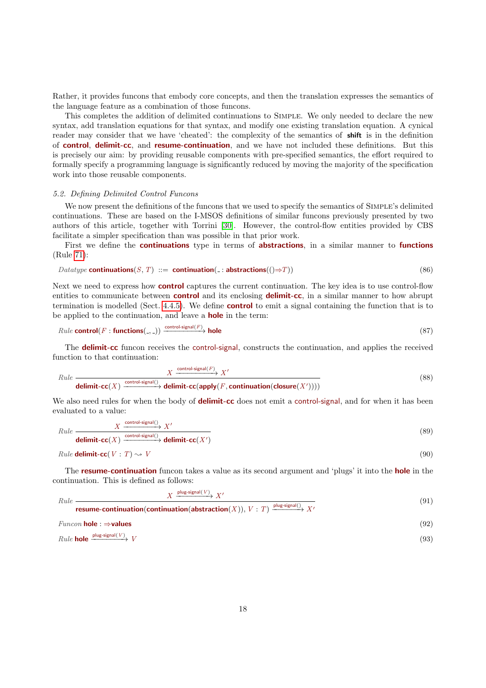Rather, it provides funcons that embody core concepts, and then the translation expresses the semantics of the language feature as a combination of those funcons.

This completes the addition of delimited continuations to Simple. We only needed to declare the new syntax, add translation equations for that syntax, and modify one existing translation equation. A cynical reader may consider that we have 'cheated': the complexity of the semantics of **shift** is in the definition of control, delimit-cc, and resume-continuation, and we have not included these definitions. But this is precisely our aim: by providing reusable components with pre-specified semantics, the effort required to formally specify a programming language is significantly reduced by moving the majority of the specification work into those reusable components.

#### <span id="page-17-0"></span>5.2. Defining Delimited Control Funcons

We now present the definitions of the funcons that we used to specify the semantics of SIMPLE's delimited continuations. These are based on the I-MSOS definitions of similar funcons previously presented by two authors of this article, together with Torrini [\[30\]](#page-27-22). However, the control-flow entities provided by CBS facilitate a simpler specification than was possible in that prior work.

First we define the **continuations** type in terms of **abstractions**, in a similar manner to **functions** (Rule [71\)](#page-14-3):

$$
Database \textbf{continuations}(S, T) ::= \textbf{continuation}(\textcolor{red}{\dot{\alpha}} : \textbf{abstractions}((\textcolor{red}{\dot{\alpha}} \rightarrow T))
$$
\n(86)

Next we need to express how **control** captures the current continuation. The key idea is to use control-flow entities to communicate between **control** and its enclosing **delimit-cc**, in a similar manner to how abrupt termination is modelled (Sect. [4.4.5\)](#page-13-5). We define **control** to emit a signal containing the function that is to be applied to the continuation, and leave a **hole** in the term:

$$
Rule \textbf{control}(F: functions(\text{_, })) \xrightarrow{\text{control-signal}(F)} \textbf{hole} \tag{87}
$$

The **delimit-cc** funcon receives the control-signal, constructs the continuation, and applies the received function to that continuation:

*Rule* 
$$
\xrightarrow{\text{Control-signal}(F)} X'
$$
  
**delimit-cc** $(X)$   $\xrightarrow{\text{control-signal}(t)}$  **delimit-cc** $(\text{apply}(F, \text{continuation}(\text{closure}(X'))))$  (88)

We also need rules for when the body of **delimit-cc** does not emit a control-signal, and for when it has been evaluated to a value:

Rule 
$$
\xrightarrow{\text{Control-signal}()} X'
$$
  
delimit-cc(X) 
$$
\xrightarrow{\text{control-signal}()} \text{delimit-cc}(X')
$$
 (89)

 $Rule$  delimit-cc( $V : T) \rightarrow V$  (90)

The **resume-continuation** funcon takes a value as its second argument and 'plugs' it into the **hole** in the continuation. This is defined as follows:

> $\xrightarrow{\text{plug-signal}(V)} X'$ (91)

| <b>resume-continuation(continuation(abstraction(X)),</b> $V : T$ ) $\xrightarrow{\text{plug-signal}()} X'$ |  |  |
|------------------------------------------------------------------------------------------------------------|--|--|
|------------------------------------------------------------------------------------------------------------|--|--|

 $Funcon$  hole :  $\Rightarrow$ values (92)

 $Rule -$ 

 $Rule \textbf{ hole} \xrightarrow{\text{plug-signal}(V)} V \tag{93}$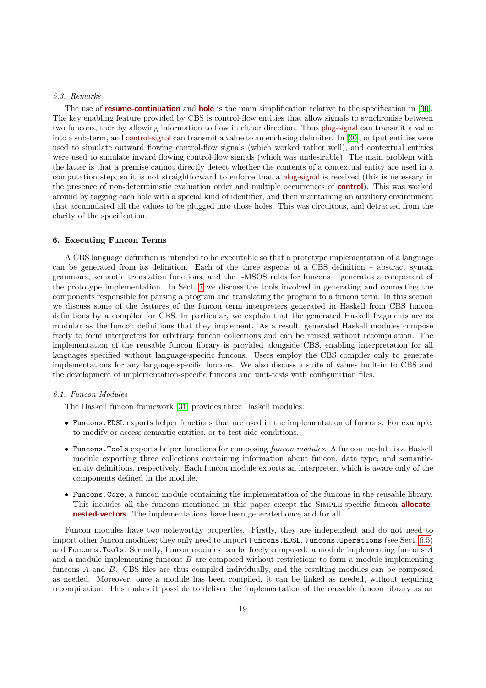#### 5.3. Remarks

The use of **resume-continuation** and **hole** is the main simplification relative to the specification in [\[30\]](#page-27-22). The key enabling feature provided by CBS is control-flow entities that allow signals to synchronise between two funcons, thereby allowing information to flow in either direction. Thus plug-signal can transmit a value into a sub-term, and control-signal can transmit a value to an enclosing delimiter. In [\[30\]](#page-27-22), output entities were used to simulate outward flowing control-flow signals (which worked rather well), and contextual entities were used to simulate inward flowing control-flow signals (which was undesirable). The main problem with the latter is that a premise cannot directly detect whether the contents of a contextual entity are used in a computation step, so it is not straightforward to enforce that a plug-signal is received (this is necessary in the presence of non-deterministic evaluation order and multiple occurrences of control). This was worked around by tagging each hole with a special kind of identifier, and then maintaining an auxiliary environment that accumulated all the values to be plugged into those holes. This was circuitous, and detracted from the clarity of the specification.

#### <span id="page-18-0"></span>6. Executing Funcon Terms

A CBS language definition is intended to be executable so that a prototype implementation of a language can be generated from its definition. Each of the three aspects of a CBS definition – abstract syntax grammars, semantic translation functions, and the I-MSOS rules for funcons – generates a component of the prototype implementation. In Sect. [7](#page-23-0) we discuss the tools involved in generating and connecting the components responsible for parsing a program and translating the program to a funcon term. In this section we discuss some of the features of the funcon term interpreters generated in Haskell from CBS funcon definitions by a compiler for CBS. In particular, we explain that the generated Haskell fragments are as modular as the funcon definitions that they implement. As a result, generated Haskell modules compose freely to form interpreters for arbitrary funcon collections and can be reused without recompilation. The implementation of the reusable funcon library is provided alongside CBS, enabling interpretation for all languages specified without language-specific funcons. Users employ the CBS compiler only to generate implementations for any language-specific funcons. We also discuss a suite of values built-in to CBS and the development of implementation-specific funcons and unit-tests with configuration files.

#### 6.1. Funcon Modules

The Haskell funcon framework [\[31\]](#page-27-23) provides three Haskell modules:

- Funcons.EDSL exports helper functions that are used in the implementation of funcons. For example, to modify or access semantic entities, or to test side-conditions.
- Funcons. Tools exports helper functions for composing funcon modules. A funcon module is a Haskell module exporting three collections containing information about funcon, data type, and semanticentity definitions, respectively. Each funcon module exports an interpreter, which is aware only of the components defined in the module.
- Funcons.Core, a funcon module containing the implementation of the funcons in the reusable library. This includes all the funcons mentioned in this paper except the SIMPLE-specific funcon **allocate**nested-vectors. The implementations have been generated once and for all.

Funcon modules have two noteworthy properties. Firstly, they are independent and do not need to import other funcon modules; they only need to import Funcons.EDSL, Funcons.Operations (see Sect. [6.5\)](#page-22-0) and Funcons.Tools. Secondly, funcon modules can be freely composed: a module implementing funcons A and a module implementing funcons  $B$  are composed without restrictions to form a module implementing funcons A and B. CBS files are thus compiled individually, and the resulting modules can be composed as needed. Moreover, once a module has been compiled, it can be linked as needed, without requiring recompilation. This makes it possible to deliver the implementation of the reusable funcon library as an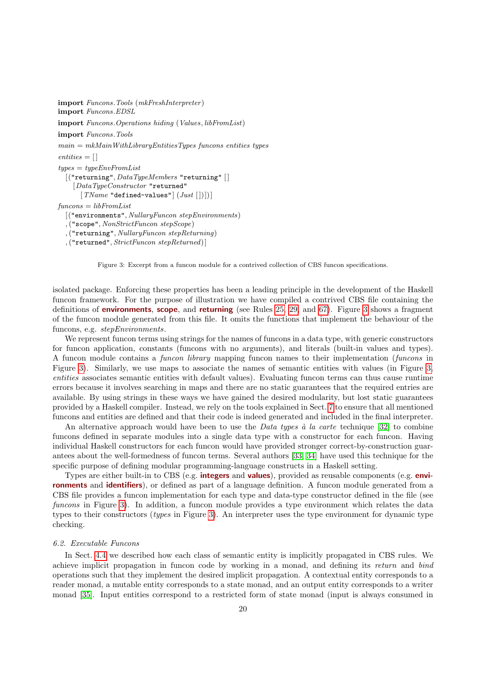```
import Funcons.Tools (mkFreshInterpreter )
import Funcons.EDSL
import Funcons.Operations hiding (Values, libFromList)
import Funcons.Tools
main = mkMainWithLibraryEntities Types funcons entities types
entities = []tuves = trueEnvFromList[("returning", DataTypeMembers "returning"][DataTypeConstructor "returned"
      [TName "defined-values" (Just[1)])]
funcons = libFromList[("environments", NullaryFuncon stepEnvironments)
  ,("scope", NonStrictFuncon stepScope)
  ,("returning", NullaryFuncon stepReturning)
  ,("returned", StrictFuncon stepReturned)]
```
<span id="page-19-0"></span>Figure 3: Excerpt from a funcon module for a contrived collection of CBS funcon specifications.

isolated package. Enforcing these properties has been a leading principle in the development of the Haskell funcon framework. For the purpose of illustration we have compiled a contrived CBS file containing the definitions of **environments, scope,** and **returning** (see Rules [25,](#page-10-3) [29,](#page-11-2) and [67\)](#page-14-4). Figure [3](#page-19-0) shows a fragment of the funcon module generated from this file. It omits the functions that implement the behaviour of the funcons, e.g. stepEnvironments.

We represent funcon terms using strings for the names of funcons in a data type, with generic constructors for funcon application, constants (funcons with no arguments), and literals (built-in values and types). A funcon module contains a funcon library mapping funcon names to their implementation (funcons in Figure [3\)](#page-19-0). Similarly, we use maps to associate the names of semantic entities with values (in Figure [3,](#page-19-0) entities associates semantic entities with default values). Evaluating funcon terms can thus cause runtime errors because it involves searching in maps and there are no static guarantees that the required entries are available. By using strings in these ways we have gained the desired modularity, but lost static guarantees provided by a Haskell compiler. Instead, we rely on the tools explained in Sect. [7](#page-23-0) to ensure that all mentioned funcons and entities are defined and that their code is indeed generated and included in the final interpreter.

An alternative approach would have been to use the *Data types à la carte* technique [\[32\]](#page-27-24) to combine funcons defined in separate modules into a single data type with a constructor for each funcon. Having individual Haskell constructors for each funcon would have provided stronger correct-by-construction guarantees about the well-formedness of funcon terms. Several authors [\[33,](#page-27-25) [34\]](#page-27-26) have used this technique for the specific purpose of defining modular programming-language constructs in a Haskell setting.

Types are either built-in to CBS (e.g. **integers** and **values**), provided as reusable components (e.g. **envi**ronments and identifiers), or defined as part of a language definition. A funcon module generated from a CBS file provides a funcon implementation for each type and data-type constructor defined in the file (see funcons in Figure [3\)](#page-19-0). In addition, a funcon module provides a type environment which relates the data types to their constructors (types in Figure [3\)](#page-19-0). An interpreter uses the type environment for dynamic type checking.

#### 6.2. Executable Funcons

In Sect. [4.4](#page-9-2) we described how each class of semantic entity is implicitly propagated in CBS rules. We achieve implicit propagation in funcon code by working in a monad, and defining its return and bind operations such that they implement the desired implicit propagation. A contextual entity corresponds to a reader monad, a mutable entity corresponds to a state monad, and an output entity corresponds to a writer monad [\[35\]](#page-27-27). Input entities correspond to a restricted form of state monad (input is always consumed in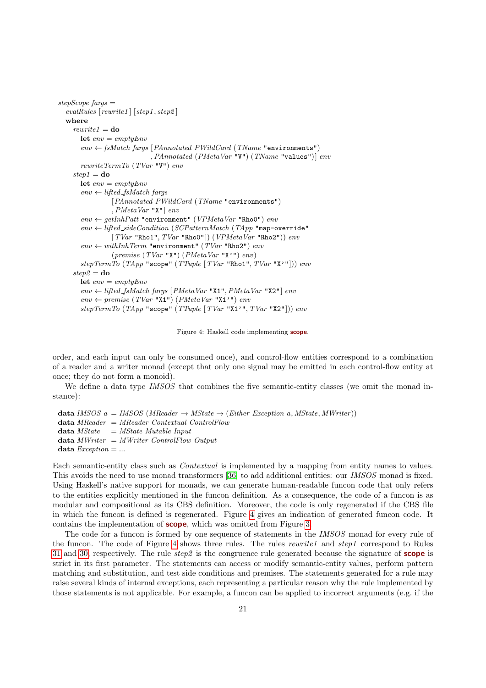```
stepScope fargs =
  evalRules [rewrite1] [step1, step2]where
    \it rewrite1 = dolet env = emptyEnvenv \leftarrow fshatch fargs [PAnnotated PWildCard (TName "environments")
                           ,PAnnotated (PMetaVar "V") (TName "values")] env
      rewriteTermTo (TVar "V") env
    step1 =do
      let env = emptyEnvenv \leftarrow lifted_fsMatch fargs
               [PAnnotated PWildCard (TName "environments")
               ,PMetaVar "X"] env
      env \leftarrow getInhPatt "environment" (VPMetaVar "Rho0") env
      env \leftarrow lifted_sideCondition (SCPatternMatch (TApp "map-override"
               [TVar "Rho1", TVar "Rho0"]) (VPMetaVar "Rho2")) env
      env \leftarrow withInhTerm "environment" (TVar "Rho2") env
               (premise (TVar "X") (PMetaVar "X") env)stepTermTo (TApp "scope" (TTuple [TVar "Rho1", TVar "X""])) envstep2 =do
      let env = emptyEnvenv \leftarrow lifted_fsMatch fargs [PMetaVar "X1", PMetaVar "X2"] env
      env ← premise (TVar "X1") (PMetaVar "X1'") env
      stepTermTo (TApp "scope" (TTuple [TVar "X1"", TVar "X2"])) env
```
<span id="page-20-0"></span>Figure 4: Haskell code implementing scope.

order, and each input can only be consumed once), and control-flow entities correspond to a combination of a reader and a writer monad (except that only one signal may be emitted in each control-flow entity at once; they do not form a monoid).

We define a data type *IMSOS* that combines the five semantic-entity classes (we omit the monad instance):

data IMSOS  $a = IMSOS$  (MReader  $\rightarrow MState \rightarrow (Either Exception a, MState, MWriter)$ )  $dataMReader = MReader Contentual ControlFlow$  $data MState = MState Mutable Input$  $data$  MWriter = MWriter ControlFlow Output data  $Exception = ...$ 

Each semantic-entity class such as *Contextual* is implemented by a mapping from entity names to values. This avoids the need to use monad transformers [\[36\]](#page-28-1) to add additional entities: our IMSOS monad is fixed. Using Haskell's native support for monads, we can generate human-readable funcon code that only refers to the entities explicitly mentioned in the funcon definition. As a consequence, the code of a funcon is as modular and compositional as its CBS definition. Moreover, the code is only regenerated if the CBS file in which the funcon is defined is regenerated. Figure [4](#page-20-0) gives an indication of generated funcon code. It contains the implementation of scope, which was omitted from Figure [3.](#page-19-0)

The code for a funcon is formed by one sequence of statements in the IMSOS monad for every rule of the funcon. The code of Figure [4](#page-20-0) shows three rules. The rules rewrite1 and step1 correspond to Rules [31](#page-11-3) and [30,](#page-11-4) respectively. The rule step2 is the congruence rule generated because the signature of **scope** is strict in its first parameter. The statements can access or modify semantic-entity values, perform pattern matching and substitution, and test side conditions and premises. The statements generated for a rule may raise several kinds of internal exceptions, each representing a particular reason why the rule implemented by those statements is not applicable. For example, a funcon can be applied to incorrect arguments (e.g. if the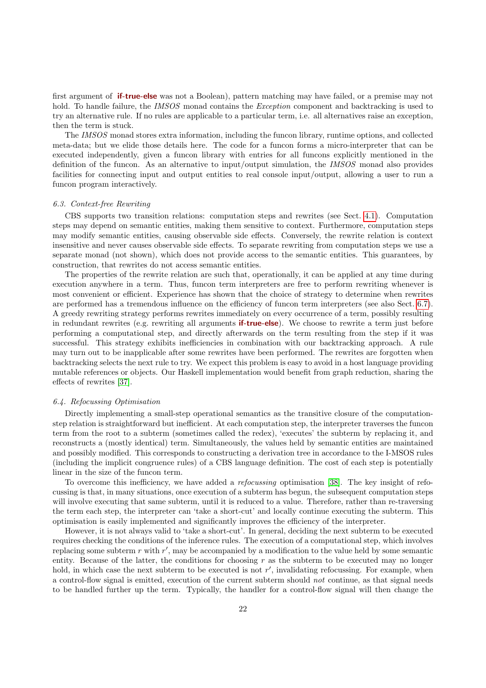first argument of **if-true-else** was not a Boolean), pattern matching may have failed, or a premise may not hold. To handle failure, the *IMSOS* monad contains the *Exception* component and backtracking is used to try an alternative rule. If no rules are applicable to a particular term, i.e. all alternatives raise an exception, then the term is stuck.

The IMSOS monad stores extra information, including the funcon library, runtime options, and collected meta-data; but we elide those details here. The code for a funcon forms a micro-interpreter that can be executed independently, given a funcon library with entries for all funcons explicitly mentioned in the definition of the funcon. As an alternative to input/output simulation, the IMSOS monad also provides facilities for connecting input and output entities to real console input/output, allowing a user to run a funcon program interactively.

#### <span id="page-21-1"></span>6.3. Context-free Rewriting

CBS supports two transition relations: computation steps and rewrites (see Sect. [4.1\)](#page-8-5). Computation steps may depend on semantic entities, making them sensitive to context. Furthermore, computation steps may modify semantic entities, causing observable side effects. Conversely, the rewrite relation is context insensitive and never causes observable side effects. To separate rewriting from computation steps we use a separate monad (not shown), which does not provide access to the semantic entities. This guarantees, by construction, that rewrites do not access semantic entities.

The properties of the rewrite relation are such that, operationally, it can be applied at any time during execution anywhere in a term. Thus, funcon term interpreters are free to perform rewriting whenever is most convenient or efficient. Experience has shown that the choice of strategy to determine when rewrites are performed has a tremendous influence on the efficiency of funcon term interpreters (see also Sect. [6.7\)](#page-23-1). A greedy rewriting strategy performs rewrites immediately on every occurrence of a term, possibly resulting in redundant rewrites (e.g. rewriting all arguments **if-true-else**). We choose to rewrite a term just before performing a computational step, and directly afterwards on the term resulting from the step if it was successful. This strategy exhibits inefficiencies in combination with our backtracking approach. A rule may turn out to be inapplicable after some rewrites have been performed. The rewrites are forgotten when backtracking selects the next rule to try. We expect this problem is easy to avoid in a host language providing mutable references or objects. Our Haskell implementation would benefit from graph reduction, sharing the effects of rewrites [\[37\]](#page-28-2).

## <span id="page-21-0"></span>6.4. Refocussing Optimisation

Directly implementing a small-step operational semantics as the transitive closure of the computationstep relation is straightforward but inefficient. At each computation step, the interpreter traverses the funcon term from the root to a subterm (sometimes called the redex), 'executes' the subterm by replacing it, and reconstructs a (mostly identical) term. Simultaneously, the values held by semantic entities are maintained and possibly modified. This corresponds to constructing a derivation tree in accordance to the I-MSOS rules (including the implicit congruence rules) of a CBS language definition. The cost of each step is potentially linear in the size of the funcon term.

To overcome this inefficiency, we have added a *refocussing* optimisation [\[38\]](#page-28-3). The key insight of refocussing is that, in many situations, once execution of a subterm has begun, the subsequent computation steps will involve executing that same subterm, until it is reduced to a value. Therefore, rather than re-traversing the term each step, the interpreter can 'take a short-cut' and locally continue executing the subterm. This optimisation is easily implemented and significantly improves the efficiency of the interpreter.

However, it is not always valid to 'take a short-cut'. In general, deciding the next subterm to be executed requires checking the conditions of the inference rules. The execution of a computational step, which involves replacing some subterm  $r$  with  $r'$ , may be accompanied by a modification to the value held by some semantic entity. Because of the latter, the conditions for choosing  $r$  as the subterm to be executed may no longer hold, in which case the next subterm to be executed is not  $r'$ , invalidating refocussing. For example, when a control-flow signal is emitted, execution of the current subterm should not continue, as that signal needs to be handled further up the term. Typically, the handler for a control-flow signal will then change the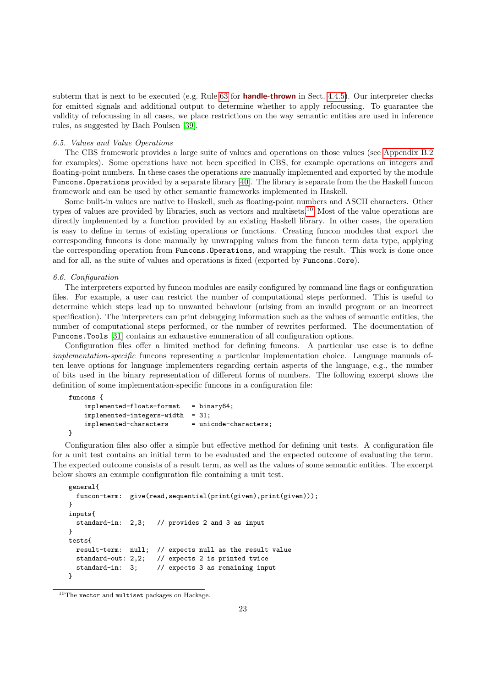subterm that is next to be executed (e.g. Rule [63](#page-13-1) for **handle-thrown** in Sect. [4.4.5\)](#page-13-5). Our interpreter checks for emitted signals and additional output to determine whether to apply refocussing. To guarantee the validity of refocussing in all cases, we place restrictions on the way semantic entities are used in inference rules, as suggested by Bach Poulsen [\[39\]](#page-28-4).

## <span id="page-22-0"></span>6.5. Values and Value Operations

The CBS framework provides a large suite of values and operations on those values (see [Appendix B.2](#page-33-2) for examples). Some operations have not been specified in CBS, for example operations on integers and floating-point numbers. In these cases the operations are manually implemented and exported by the module Funcons.Operations provided by a separate library [\[40\]](#page-28-5). The library is separate from the the Haskell funcon framework and can be used by other semantic frameworks implemented in Haskell.

Some built-in values are native to Haskell, such as floating-point numbers and ASCII characters. Other types of values are provided by libraries, such as vectors and multisets.[10](#page-22-1) Most of the value operations are directly implemented by a function provided by an existing Haskell library. In other cases, the operation is easy to define in terms of existing operations or functions. Creating funcon modules that export the corresponding funcons is done manually by unwrapping values from the funcon term data type, applying the corresponding operation from Funcons. Operations, and wrapping the result. This work is done once and for all, as the suite of values and operations is fixed (exported by Funcons.Core).

#### 6.6. Configuration

The interpreters exported by funcon modules are easily configured by command line flags or configuration files. For example, a user can restrict the number of computational steps performed. This is useful to determine which steps lead up to unwanted behaviour (arising from an invalid program or an incorrect specification). The interpreters can print debugging information such as the values of semantic entities, the number of computational steps performed, or the number of rewrites performed. The documentation of Funcons.Tools [\[31\]](#page-27-23) contains an exhaustive enumeration of all configuration options.

Configuration files offer a limited method for defining funcons. A particular use case is to define implementation-specific funcons representing a particular implementation choice. Language manuals often leave options for language implementers regarding certain aspects of the language, e.g., the number of bits used in the binary representation of different forms of numbers. The following excerpt shows the definition of some implementation-specific funcons in a configuration file:

```
funcons {
    implemented-floats-format = binary64;
    implemented-integers-width = 31;
    implemented-characters = unicode-characters;
}
```
Configuration files also offer a simple but effective method for defining unit tests. A configuration file for a unit test contains an initial term to be evaluated and the expected outcome of evaluating the term. The expected outcome consists of a result term, as well as the values of some semantic entities. The excerpt below shows an example configuration file containing a unit test.

```
general{
 funcon-term: give(read,sequential(print(given),print(given)));
}
inputs{
  standard-in: 2,3; // provides 2 and 3 as input
}
tests{
  result-term: null; // expects null as the result value
  standard-out: 2,2; // expects 2 is printed twice
  standard-in: 3; // expects 3 as remaining input
}
```
<span id="page-22-1"></span> $^{10}\mathrm{The}$  vector and  $\tt multiset}$  packages on Hackage.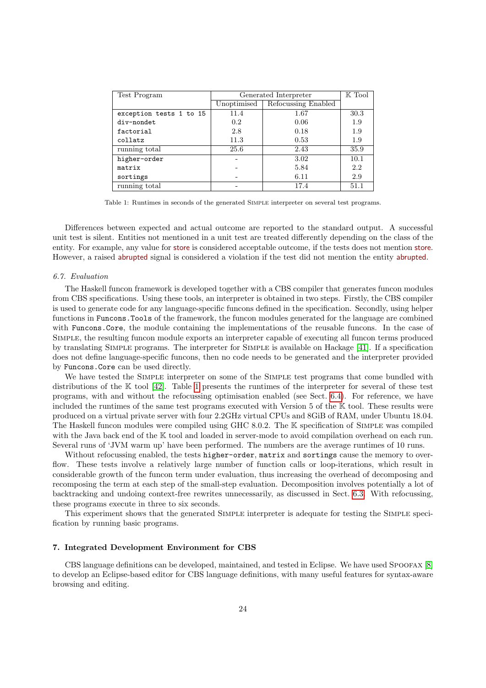| Test Program            | Generated Interpreter |                     | $K$ Tool |
|-------------------------|-----------------------|---------------------|----------|
|                         | Unoptimised           | Refocussing Enabled |          |
| exception tests 1 to 15 | 11.4                  | 1.67                | 30.3     |
| div-nondet              | 0.2                   | 0.06                | 1.9      |
| factorial               | 2.8                   | 0.18                | 1.9      |
| collatz                 | 11.3                  | 0.53                | 1.9      |
| running total           | 25.6                  | 2.43                | 35.9     |
| higher-order            |                       | 3.02                | 10.1     |
| matrix                  |                       | 5.84                | 2.2      |
| sortings                |                       | 6.11                | 2.9      |
| running total           |                       | 17.4                | 51.1     |

<span id="page-23-2"></span>Table 1: Runtimes in seconds of the generated Simple interpreter on several test programs.

Differences between expected and actual outcome are reported to the standard output. A successful unit test is silent. Entities not mentioned in a unit test are treated differently depending on the class of the entity. For example, any value for store is considered acceptable outcome, if the tests does not mention store. However, a raised abrupted signal is considered a violation if the test did not mention the entity abrupted.

#### <span id="page-23-1"></span>6.7. Evaluation

The Haskell funcon framework is developed together with a CBS compiler that generates funcon modules from CBS specifications. Using these tools, an interpreter is obtained in two steps. Firstly, the CBS compiler is used to generate code for any language-specific funcons defined in the specification. Secondly, using helper functions in Funcons.Tools of the framework, the funcon modules generated for the language are combined with Funcons. Core, the module containing the implementations of the reusable funcons. In the case of Simple, the resulting funcon module exports an interpreter capable of executing all funcon terms produced by translating Simple programs. The interpreter for Simple is available on Hackage [\[41\]](#page-28-6). If a specification does not define language-specific funcons, then no code needs to be generated and the interpreter provided by Funcons.Core can be used directly.

We have tested the SIMPLE interpreter on some of the SIMPLE test programs that come bundled with distributions of the K tool [\[42\]](#page-28-7). Table [1](#page-23-2) presents the runtimes of the interpreter for several of these test programs, with and without the refocussing optimisation enabled (see Sect. [6.4\)](#page-21-0). For reference, we have included the runtimes of the same test programs executed with Version 5 of the K tool. These results were produced on a virtual private server with four 2.2GHz virtual CPUs and 8GiB of RAM, under Ubuntu 18.04. The Haskell funcon modules were compiled using GHC 8.0.2. The K specification of SIMPLE was compiled with the Java back end of the K tool and loaded in server-mode to avoid compilation overhead on each run. Several runs of 'JVM warm up' have been performed. The numbers are the average runtimes of 10 runs.

Without refocussing enabled, the tests higher-order, matrix and sortings cause the memory to overflow. These tests involve a relatively large number of function calls or loop-iterations, which result in considerable growth of the funcon term under evaluation, thus increasing the overhead of decomposing and recomposing the term at each step of the small-step evaluation. Decomposition involves potentially a lot of backtracking and undoing context-free rewrites unnecessarily, as discussed in Sect. [6.3.](#page-21-1) With refocussing, these programs execute in three to six seconds.

This experiment shows that the generated Simple interpreter is adequate for testing the Simple specification by running basic programs.

#### <span id="page-23-0"></span>7. Integrated Development Environment for CBS

CBS language definitions can be developed, maintained, and tested in Eclipse. We have used Spoofax [\[8\]](#page-27-0) to develop an Eclipse-based editor for CBS language definitions, with many useful features for syntax-aware browsing and editing.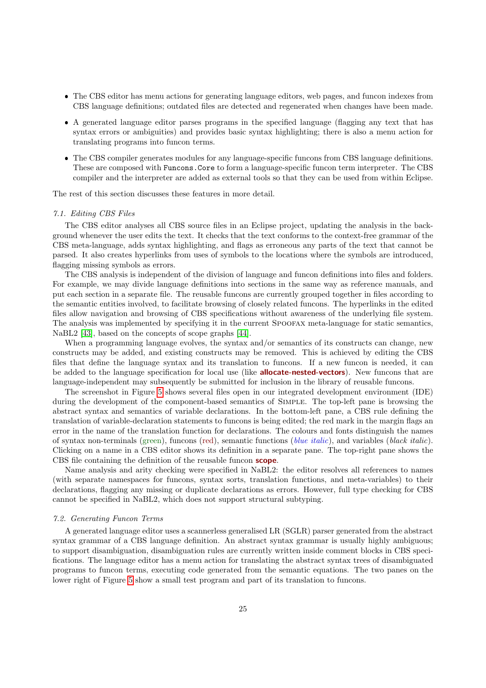- The CBS editor has menu actions for generating language editors, web pages, and funcon indexes from CBS language definitions; outdated files are detected and regenerated when changes have been made.
- A generated language editor parses programs in the specified language (flagging any text that has syntax errors or ambiguities) and provides basic syntax highlighting; there is also a menu action for translating programs into funcon terms.
- The CBS compiler generates modules for any language-specific funcons from CBS language definitions. These are composed with Funcons.Core to form a language-specific funcon term interpreter. The CBS compiler and the interpreter are added as external tools so that they can be used from within Eclipse.

The rest of this section discusses these features in more detail.

## 7.1. Editing CBS Files

The CBS editor analyses all CBS source files in an Eclipse project, updating the analysis in the background whenever the user edits the text. It checks that the text conforms to the context-free grammar of the CBS meta-language, adds syntax highlighting, and flags as erroneous any parts of the text that cannot be parsed. It also creates hyperlinks from uses of symbols to the locations where the symbols are introduced, flagging missing symbols as errors.

The CBS analysis is independent of the division of language and funcon definitions into files and folders. For example, we may divide language definitions into sections in the same way as reference manuals, and put each section in a separate file. The reusable funcons are currently grouped together in files according to the semantic entities involved, to facilitate browsing of closely related funcons. The hyperlinks in the edited files allow navigation and browsing of CBS specifications without awareness of the underlying file system. The analysis was implemented by specifying it in the current Spoofax meta-language for static semantics, NaBL2 [\[43\]](#page-28-8), based on the concepts of scope graphs [\[44\]](#page-28-9).

When a programming language evolves, the syntax and/or semantics of its constructs can change, new constructs may be added, and existing constructs may be removed. This is achieved by editing the CBS files that define the language syntax and its translation to funcons. If a new funcon is needed, it can be added to the language specification for local use (like **allocate-nested-vectors**). New funcons that are language-independent may subsequently be submitted for inclusion in the library of reusable funcons.

The screenshot in Figure [5](#page-25-0) shows several files open in our integrated development environment (IDE) during the development of the component-based semantics of SIMPLE. The top-left pane is browsing the abstract syntax and semantics of variable declarations. In the bottom-left pane, a CBS rule defining the translation of variable-declaration statements to funcons is being edited; the red mark in the margin flags an error in the name of the translation function for declarations. The colours and fonts distinguish the names of syntax non-terminals (green), funcons (red), semantic functions (blue italic), and variables (black italic). Clicking on a name in a CBS editor shows its definition in a separate pane. The top-right pane shows the CBS file containing the definition of the reusable funcon **scope**.

Name analysis and arity checking were specified in NaBL2: the editor resolves all references to names (with separate namespaces for funcons, syntax sorts, translation functions, and meta-variables) to their declarations, flagging any missing or duplicate declarations as errors. However, full type checking for CBS cannot be specified in NaBL2, which does not support structural subtyping.

## 7.2. Generating Funcon Terms

A generated language editor uses a scannerless generalised LR (SGLR) parser generated from the abstract syntax grammar of a CBS language definition. An abstract syntax grammar is usually highly ambiguous; to support disambiguation, disambiguation rules are currently written inside comment blocks in CBS specifications. The language editor has a menu action for translating the abstract syntax trees of disambiguated programs to funcon terms, executing code generated from the semantic equations. The two panes on the lower right of Figure [5](#page-25-0) show a small test program and part of its translation to funcons.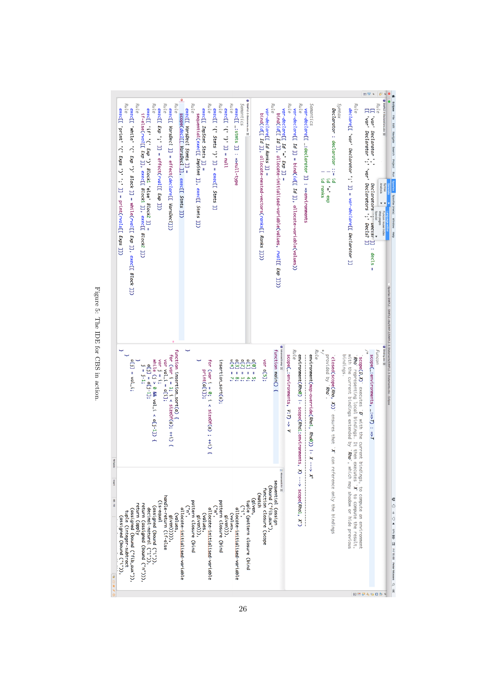| exec[[ 'print' '(' Exps ')' ';' ]] = print(rvals[[ Exps ]]) | Rule<br>exec[[ while' '(' Exp'')' Block ]] = while(rval[[ Exp ]], exec[[ Block ]]) | Rule<br>exec[[ 'if' '(' Exp ')' Block1 'else' Block2 ]] =<br>if-else(rval[[ Exp ]], exec[[ Block1 ]], exec[[ Block2 ]]) | <b>Rule</b><br>exec[[ $Exp$ ';' ]] = effect(rval[[ $Exp$ ]]) | <b>Rule</b><br>Rule<br>exec[[ VarsDecl ]] = effect(declare[[ VarsDecl]])                       | scope(decl[[ VarsDecl ]], exec[[ Stmts ]]) | Rule<br>$exec[[ VarsDec]$ Stmts $]] =$ | Kule<br>$exec[[ImpStrut String] =$<br>sequential(exec[[ ImpStmt ]], exec[[ Stmts ]]) | exec[[ .{ . Stmts .} . ]] = exec[[ Stmts ]]                 | <b>Rule</b><br>$\text{exeCl}$ $\mathbf{1}$ , $\mathbf{1}$ , $\mathbf{1}$ , $\mathbf{1}$ = $\text{null}$ | <b>Rule</b><br><b>Semantics</b><br>exec[[ _:stmts ]] : =>mull-type                                                                                                                                                                                                                                                                                                                                                                 | SIMPLE-3-Statements.cbs 22        |         | var-declare[[ Id Ranks ]] =<br>bind(id[[ Id ]], allocate-nested-vectors(ranks[[ Ranks ]])) | Rule<br>var-declare[[ $Id$ '=' Exp ]] =<br>bind(id[[ Id ]], allocate-initialised-variable(values, rval[[ Exp ]])) | Rule                            | Rule<br>$var-declare[\![Id]\!] = bind(id[\![Id]\!]$ , allocate-variable(values))                                              | Semantics<br>var-declare[[ _:declarator ]] : =>environments | Declarator : declarator ::= id<br>Declarator : declarator ::= id<br>id ranks | <b>Rule</b><br>Syntax<br>declare[['var' Declarator';' ]] = var-declare[[ Declarator ]]                                                                                                                                                                                                | m RP a<br>[[ 'var' Declarator ',' var' Declarators '; Decls ] : decls =<br>[[ 'var' Declarator ';' 'var' Declarators ';' Decls? ]] : | P<br>Rule<br>Web pages<br><b>Special</b> | B BIMPLE-4-Declarations.cbs<br>Syntax<br>Analysis<br>Funcon reuse index | <br>Eclipse File Edit Navigate Search Project Run Spoofax Spoofax (meta) Window Help     |
|-------------------------------------------------------------|------------------------------------------------------------------------------------|-------------------------------------------------------------------------------------------------------------------------|--------------------------------------------------------------|------------------------------------------------------------------------------------------------|--------------------------------------------|----------------------------------------|--------------------------------------------------------------------------------------|-------------------------------------------------------------|---------------------------------------------------------------------------------------------------------|------------------------------------------------------------------------------------------------------------------------------------------------------------------------------------------------------------------------------------------------------------------------------------------------------------------------------------------------------------------------------------------------------------------------------------|-----------------------------------|---------|--------------------------------------------------------------------------------------------|-------------------------------------------------------------------------------------------------------------------|---------------------------------|-------------------------------------------------------------------------------------------------------------------------------|-------------------------------------------------------------|------------------------------------------------------------------------------|---------------------------------------------------------------------------------------------------------------------------------------------------------------------------------------------------------------------------------------------------------------------------------------|--------------------------------------------------------------------------------------------------------------------------------------|------------------------------------------|-------------------------------------------------------------------------|------------------------------------------------------------------------------------------|
| Writable                                                    | $a[j] = val_i;$                                                                    | $a[1] = a[1-1];$<br>$j = j-1;$                                                                                          | while $(j > 0$ && val_i < a[j-1]) {<br>var $j = i$ ;         | function insertion_sort(a) {<br>for (var i = 1; i < sizeOf(a); ++i) {<br>var val_ $i = a[i]$ ; |                                            |                                        | print(a[i]);                                                                         | for (var $i = 0$ ; $i <$ size0f(a); $\leftrightarrow i$ ) { | insertion_sort(a);                                                                                      | $\begin{array}{l} \mathbf{q} = \mathbf{q} + \mathbf{q} + \mathbf{q} \\ \mathbf{q} = \mathbf{q} + \mathbf{q} + \mathbf{q} + \mathbf{q} \\ \mathbf{q} = \mathbf{q} + \mathbf{q} + \mathbf{q} + \mathbf{q} + \mathbf{q} + \mathbf{q} + \mathbf{q} + \mathbf{q} + \mathbf{q} + \mathbf{q} + \mathbf{q} + \mathbf{q} + \mathbf{q} + \mathbf{q} + \mathbf{q} + \mathbf{q} + \mathbf{q} + \mathbf{q} + \mathbf{q} + \mathbf{q} + \mathbf$ |                                   |         | var a[5];                                                                                  | function main() {                                                                                                 | scope(_:environments, V:T) ~> V | <b>Rule</b><br>environment( <i>Rho0)</i>  - scope( <i>Rho</i> 1:environments, <i>X)</i> ---> scope( <i>Rho</i> 1, <i>X'</i> ) | Rule<br>environment(map-override(Rho1, Rho0))  -            | provided by 'Rho'<br>closed(scope(Rho, X)) ensures that 'X'                  | bindings.<br>with the current bindings extended by <b>`Rho</b> `, which may shadow or hide previous<br>Rho <sup>-</sup><br>`scope(D,X)` executes `D` with the current bindings, to compute an environment<br>representing local bindings. It then executes 'X' to compute the result, | scope(_:environments, _:=>T) : =>T                                                                                                   | Funcon                                   | <b>Binding.cbs</b> 22                                                   | Spoofax-SIMPLE - SIMPLE-cbs/SIMPLE/SIMPLE-3-Statements/SIMPLE-3-Statements.cbs - Eclipse |
| process<br>48:10<br>(assigned (bound ("i")),<br>E)<br>T)    | (assigned (bound C"fib_aux"))<br>tuple (integer-subtract                           | return (assigned (bound ("n"))),<br>return (apply<br>decimal-natural ("1")),                                            | (is-equal<br>(assigned (bound ("i")),                        | handle-return (if-else<br>(values,<br>given)))),                                               | allocate-initialised-variable              | pattern closure (bind<br>$C^n n^n$ ,   | (values,<br>given))),                                                                | $C^m$ ,<br>allocate-initialised-variable                    | pattern closure (bind<br>given))),                                                                      | allocate-initialised-variable<br>(values,                                                                                                                                                                                                                                                                                                                                                                                          | tuple (pattern closure (bind<br>G | (given, | (bound C"fib_aux"),<br>function closure (scope<br>(match                                   | Advanced A.t.ct 33<br>sequential (assign                                                                          |                                 |                                                                                                                               | $X \leftarrow -X$                                           | can reference only the bindings                                              |                                                                                                                                                                                                                                                                                       |                                                                                                                                      |                                          |                                                                         | \$P ① キ △ キ △ Wing British Base Deter Messes o ill                                       |

<span id="page-25-0"></span>Figure 5: The IDE for CBS in action. Figure 5: The IDE for CBS in action.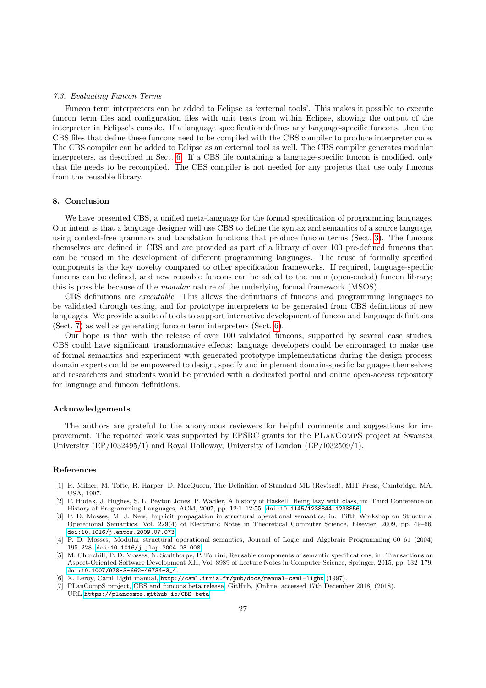#### 7.3. Evaluating Funcon Terms

Funcon term interpreters can be added to Eclipse as 'external tools'. This makes it possible to execute funcon term files and configuration files with unit tests from within Eclipse, showing the output of the interpreter in Eclipse's console. If a language specification defines any language-specific funcons, then the CBS files that define these funcons need to be compiled with the CBS compiler to produce interpreter code. The CBS compiler can be added to Eclipse as an external tool as well. The CBS compiler generates modular interpreters, as described in Sect. [6.](#page-18-0) If a CBS file containing a language-specific funcon is modified, only that file needs to be recompiled. The CBS compiler is not needed for any projects that use only funcons from the reusable library.

#### 8. Conclusion

We have presented CBS, a unified meta-language for the formal specification of programming languages. Our intent is that a language designer will use CBS to define the syntax and semantics of a source language, using context-free grammars and translation functions that produce funcon terms (Sect. [3\)](#page-5-0). The funcons themselves are defined in CBS and are provided as part of a library of over 100 pre-defined funcons that can be reused in the development of different programming languages. The reuse of formally specified components is the key novelty compared to other specification frameworks. If required, language-specific funcons can be defined, and new reusable funcons can be added to the main (open-ended) funcon library; this is possible because of the modular nature of the underlying formal framework (MSOS).

CBS definitions are executable. This allows the definitions of funcons and programming languages to be validated through testing, and for prototype interpreters to be generated from CBS definitions of new languages. We provide a suite of tools to support interactive development of funcon and language definitions (Sect. [7\)](#page-23-0) as well as generating funcon term interpreters (Sect. [6\)](#page-18-0).

Our hope is that with the release of over 100 validated funcons, supported by several case studies, CBS could have significant transformative effects: language developers could be encouraged to make use of formal semantics and experiment with generated prototype implementations during the design process; domain experts could be empowered to design, specify and implement domain-specific languages themselves; and researchers and students would be provided with a dedicated portal and online open-access repository for language and funcon definitions.

#### Acknowledgements

The authors are grateful to the anonymous reviewers for helpful comments and suggestions for improvement. The reported work was supported by EPSRC grants for the PLanCompS project at Swansea University (EP/I032495/1) and Royal Holloway, University of London (EP/I032509/1).

#### References

- <span id="page-26-0"></span>[1] R. Milner, M. Tofte, R. Harper, D. MacQueen, The Definition of Standard ML (Revised), MIT Press, Cambridge, MA, USA, 1997.
- <span id="page-26-1"></span>[2] P. Hudak, J. Hughes, S. L. Peyton Jones, P. Wadler, A history of Haskell: Being lazy with class, in: Third Conference on History of Programming Languages, ACM, 2007, pp. 12:1–12:55. [doi:10.1145/1238844.1238856](http://dx.doi.org/10.1145/1238844.1238856).
- <span id="page-26-2"></span>[3] P. D. Mosses, M. J. New, Implicit propagation in structural operational semantics, in: Fifth Workshop on Structural Operational Semantics, Vol. 229(4) of Electronic Notes in Theoretical Computer Science, Elsevier, 2009, pp. 49–66. [doi:10.1016/j.entcs.2009.07.073](http://dx.doi.org/10.1016/j.entcs.2009.07.073).
- <span id="page-26-3"></span>[4] P. D. Mosses, Modular structural operational semantics, Journal of Logic and Algebraic Programming 60–61 (2004) 195–228. [doi:10.1016/j.jlap.2004.03.008](http://dx.doi.org/10.1016/j.jlap.2004.03.008).
- <span id="page-26-4"></span>[5] M. Churchill, P. D. Mosses, N. Sculthorpe, P. Torrini, Reusable components of semantic specifications, in: Transactions on Aspect-Oriented Software Development XII, Vol. 8989 of Lecture Notes in Computer Science, Springer, 2015, pp. 132–179. [doi:10.1007/978-3-662-46734-3\\_4](http://dx.doi.org/10.1007/978-3-662-46734-3_4).
- <span id="page-26-5"></span>[6] X. Leroy, Caml Light manual, <http://caml.inria.fr/pub/docs/manual-caml-light> (1997).
- <span id="page-26-6"></span>[7] PLanCompS project, [CBS and funcons beta release,](https://plancomps.github.io/CBS-beta) GitHub, [Online, accessed 17th December 2018] (2018). URL <https://plancomps.github.io/CBS-beta>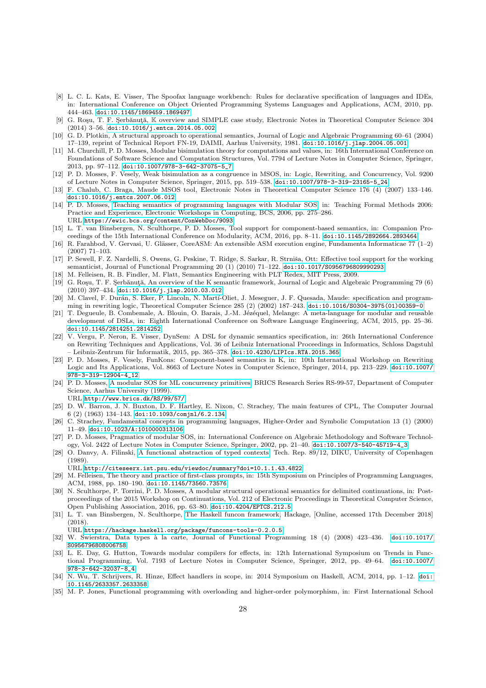- <span id="page-27-0"></span>[8] L. C. L. Kats, E. Visser, The Spoofax language workbench: Rules for declarative specification of languages and IDEs, in: International Conference on Object Oriented Programming Systems Languages and Applications, ACM, 2010, pp. 444–463. [doi:10.1145/1869459.1869497](http://dx.doi.org/10.1145/1869459.1869497).
- <span id="page-27-1"></span>[9] G. Roşu, T. F. Serbănută, K overview and SIMPLE case study, Electronic Notes in Theoretical Computer Science 304 (2014) 3–56. [doi:10.1016/j.entcs.2014.05.002](http://dx.doi.org/10.1016/j.entcs.2014.05.002).
- <span id="page-27-2"></span>[10] G. D. Plotkin, A structural approach to operational semantics, Journal of Logic and Algebraic Programming 60–61 (2004) 17–139, reprint of Technical Report FN-19, DAIMI, Aarhus University, 1981. [doi:10.1016/j.jlap.2004.05.001](http://dx.doi.org/10.1016/j.jlap.2004.05.001).
- <span id="page-27-3"></span>[11] M. Churchill, P. D. Mosses, Modular bisimulation theory for computations and values, in: 16th International Conference on Foundations of Software Science and Computation Structures, Vol. 7794 of Lecture Notes in Computer Science, Springer, 2013, pp. 97–112. [doi:10.1007/978-3-642-37075-5\\_7](http://dx.doi.org/10.1007/978-3-642-37075-5_7).
- <span id="page-27-4"></span>[12] P. D. Mosses, F. Vesely, Weak bisimulation as a congruence in MSOS, in: Logic, Rewriting, and Concurrency, Vol. 9200 of Lecture Notes in Computer Science, Springer, 2015, pp. 519–538. [doi:10.1007/978-3-319-23165-5\\_24](http://dx.doi.org/10.1007/978-3-319-23165-5_24).
- <span id="page-27-5"></span>[13] F. Chalub, C. Braga, Maude MSOS tool, Electronic Notes in Theoretical Computer Science 176 (4) (2007) 133–146. [doi:10.1016/j.entcs.2007.06.012](http://dx.doi.org/10.1016/j.entcs.2007.06.012).
- <span id="page-27-6"></span>[14] P. D. Mosses, [Teaching semantics of programming languages with Modular SOS,](https://ewic.bcs.org/content/ConWebDoc/9093) in: Teaching Formal Methods 2006: Practice and Experience, Electronic Workshops in Computing, BCS, 2006, pp. 275–286. URL <https://ewic.bcs.org/content/ConWebDoc/9093>
- <span id="page-27-7"></span>[15] L. T. van Binsbergen, N. Sculthorpe, P. D. Mosses, Tool support for component-based semantics, in: Companion Proceedings of the 15th International Conference on Modularity, ACM, 2016, pp. 8–11. [doi:10.1145/2892664.2893464](http://dx.doi.org/10.1145/2892664.2893464).
- <span id="page-27-8"></span>[16] R. Farahbod, V. Gervasi, U. Glässer, CoreASM: An extensible ASM execution engine, Fundamenta Informaticae 77 (1–2) (2007) 71–103.
- <span id="page-27-9"></span>[17] P. Sewell, F. Z. Nardelli, S. Owens, G. Peskine, T. Ridge, S. Sarkar, R. Strniša, Ott: Effective tool support for the working semanticist, Journal of Functional Programming 20 (1) (2010) 71–122. [doi:10.1017/S0956796809990293](http://dx.doi.org/10.1017/S0956796809990293).
- <span id="page-27-10"></span>[18] M. Felleisen, R. B. Findler, M. Flatt, Semantics Engineering with PLT Redex, MIT Press, 2009.
- <span id="page-27-11"></span>[19] G. Roşu, T. F. Serbănută, An overview of the K semantic framework, Journal of Logic and Algebraic Programming 79 (6) (2010) 397–434. [doi:10.1016/j.jlap.2010.03.012](http://dx.doi.org/10.1016/j.jlap.2010.03.012).
- <span id="page-27-12"></span>[20] M. Clavel, F. Durán, S. Eker, P. Lincoln, N. Martí-Oliet, J. Meseguer, J. F. Quesada, Maude: specification and programming in rewriting logic, Theoretical Computer Science 285 (2) (2002) 187–243. [doi:10.1016/S0304-3975\(01\)00359-0](http://dx.doi.org/10.1016/S0304-3975(01)00359-0).
- <span id="page-27-13"></span>[21] T. Degueule, B. Combemale, A. Blouin, O. Barais, J.-M. Jézéquel, Melange: A meta-language for modular and reusable development of DSLs, in: Eighth International Conference on Software Language Engineering, ACM, 2015, pp. 25–36. [doi:10.1145/2814251.2814252](http://dx.doi.org/10.1145/2814251.2814252)
- <span id="page-27-14"></span>[22] V. Vergu, P. Neron, E. Visser, DynSem: A DSL for dynamic semantics specification, in: 26th International Conference on Rewriting Techniques and Applications, Vol. 36 of Leibniz International Proceedings in Informatics, Schloss Dagstuhl – Leibniz-Zentrum für Informatik, 2015, pp. 365–378. [doi:10.4230/LIPIcs.RTA.2015.365](http://dx.doi.org/10.4230/LIPIcs.RTA.2015.365).
- <span id="page-27-15"></span>[23] P. D. Mosses, F. Vesely, FunKons: Component-based semantics in K, in: 10th International Workshop on Rewriting Logic and Its Applications, Vol. 8663 of Lecture Notes in Computer Science, Springer, 2014, pp. 213–229. [doi:10.1007/](http://dx.doi.org/10.1007/978-3-319-12904-4_12) [978-3-319-12904-4\\_12](http://dx.doi.org/10.1007/978-3-319-12904-4_12).
- <span id="page-27-16"></span>[24] P. D. Mosses, [A modular SOS for ML concurrency primitives,](http://www.brics.dk/RS/99/57/) BRICS Research Series RS-99-57, Department of Computer Science, Aarhus University (1999).
- <span id="page-27-17"></span>URL <http://www.brics.dk/RS/99/57/> [25] D. W. Barron, J. N. Buxton, D. F. Hartley, E. Nixon, C. Strachey, The main features of CPL, The Computer Journal 6 (2) (1963) 134–143. [doi:10.1093/comjnl/6.2.134](http://dx.doi.org/10.1093/comjnl/6.2.134).
- <span id="page-27-18"></span>[26] C. Strachey, Fundamental concepts in programming languages, Higher-Order and Symbolic Computation 13 (1) (2000) 11–49. [doi:10.1023/A:1010000313106](http://dx.doi.org/10.1023/A:1010000313106).
- <span id="page-27-19"></span>[27] P. D. Mosses, Pragmatics of modular SOS, in: International Conference on Algebraic Methodology and Software Technology, Vol. 2422 of Lecture Notes in Computer Science, Springer, 2002, pp. 21–40. [doi:10.1007/3-540-45719-4\\_3](http://dx.doi.org/10.1007/3-540-45719-4_3).
- <span id="page-27-20"></span>[28] O. Danvy, A. Filinski, [A functional abstraction of typed contexts,](http://citeseerx.ist.psu.edu/viewdoc/summary?doi=10.1.1.43.4822) Tech. Rep. 89/12, DIKU, University of Copenhagen (1989).
	- URL <http://citeseerx.ist.psu.edu/viewdoc/summary?doi=10.1.1.43.4822>
- <span id="page-27-21"></span>[29] M. Felleisen, The theory and practice of first-class prompts, in: 15th Symposium on Principles of Programming Languages, ACM, 1988, pp. 180–190. [doi:10.1145/73560.73576](http://dx.doi.org/10.1145/73560.73576).
- <span id="page-27-22"></span>[30] N. Sculthorpe, P. Torrini, P. D. Mosses, A modular structural operational semantics for delimited continuations, in: Postproceedings of the 2015 Workshop on Continuations, Vol. 212 of Electronic Proceedings in Theoretical Computer Science, Open Publishing Association, 2016, pp. 63–80. [doi:10.4204/EPTCS.212.5](http://dx.doi.org/10.4204/EPTCS.212.5).
- <span id="page-27-23"></span>[31] L. T. van Binsbergen, N. Sculthorpe, [The Haskell funcon framework,](https://hackage.haskell.org/package/funcons-tools-0.2.0.5) Hackage, [Online, accessed 17th December 2018] (2018).
- URL <https://hackage.haskell.org/package/funcons-tools-0.2.0.5>
- <span id="page-27-24"></span>[32] W. Swierstra, Data types à la carte, Journal of Functional Programming 18 (4) (2008) 423-436. [doi:10.1017/](http://dx.doi.org/10.1017/S0956796808006758) [S0956796808006758](http://dx.doi.org/10.1017/S0956796808006758).
- <span id="page-27-25"></span>[33] L. E. Day, G. Hutton, Towards modular compilers for effects, in: 12th International Symposium on Trends in Functional Programming, Vol. 7193 of Lecture Notes in Computer Science, Springer, 2012, pp. 49–64. [doi:10.1007/](http://dx.doi.org/10.1007/978-3-642-32037-8_4) [978-3-642-32037-8\\_4](http://dx.doi.org/10.1007/978-3-642-32037-8_4).
- <span id="page-27-26"></span>[34] N. Wu, T. Schrijvers, R. Hinze, Effect handlers in scope, in: 2014 Symposium on Haskell, ACM, 2014, pp. 1–12. [doi:](http://dx.doi.org/10.1145/2633357.2633358) [10.1145/2633357.2633358](http://dx.doi.org/10.1145/2633357.2633358).
- <span id="page-27-27"></span>[35] M. P. Jones, Functional programming with overloading and higher-order polymorphism, in: First International School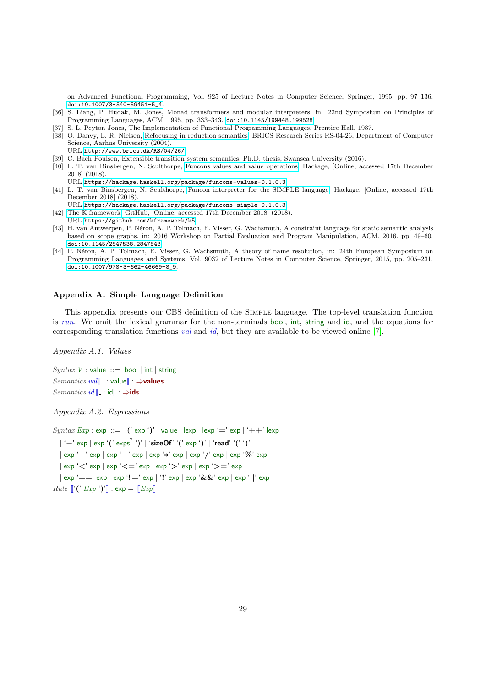on Advanced Functional Programming, Vol. 925 of Lecture Notes in Computer Science, Springer, 1995, pp. 97–136. [doi:10.1007/3-540-59451-5\\_4](http://dx.doi.org/10.1007/3-540-59451-5_4).

- <span id="page-28-1"></span>[36] S. Liang, P. Hudak, M. Jones, Monad transformers and modular interpreters, in: 22nd Symposium on Principles of Programming Languages, ACM, 1995, pp. 333–343. [doi:10.1145/199448.199528](http://dx.doi.org/10.1145/199448.199528).
- <span id="page-28-2"></span>[37] S. L. Peyton Jones, The Implementation of Functional Programming Languages, Prentice Hall, 1987.
- <span id="page-28-3"></span>[38] O. Danvy, L. R. Nielsen, [Refocusing in reduction semantics,](http://www.brics.dk/RS/04/26/) BRICS Research Series RS-04-26, Department of Computer Science, Aarhus University (2004).

URL <http://www.brics.dk/RS/04/26/>

- <span id="page-28-4"></span>[39] C. Bach Poulsen, Extensible transition system semantics, Ph.D. thesis, Swansea University (2016).
- <span id="page-28-5"></span>[40] L. T. van Binsbergen, N. Sculthorpe, [Funcons values and value operations,](https://hackage.haskell.org/package/funcons-values-0.1.0.3) Hackage, [Online, accessed 17th December 2018] (2018). URL <https://hackage.haskell.org/package/funcons-values-0.1.0.3>
	-
- <span id="page-28-6"></span>[41] L. T. van Binsbergen, N. Sculthorpe, [Funcon interpreter for the SIMPLE language,](https://hackage.haskell.org/package/funcons-simple-0.1.0.3) Hackage, [Online, accessed 17th December 2018] (2018).
- URL <https://hackage.haskell.org/package/funcons-simple-0.1.0.3>
- <span id="page-28-7"></span>[42] The K [framework,](https://github.com/kframework/k5) GitHub, [Online, accessed 17th December 2018] (2018).
- URL <https://github.com/kframework/k5>
- <span id="page-28-8"></span>[43] H. van Antwerpen, P. Néron, A. P. Tolmach, E. Visser, G. Wachsmuth, A constraint language for static semantic analysis based on scope graphs, in: 2016 Workshop on Partial Evaluation and Program Manipulation, ACM, 2016, pp. 49–60. [doi:10.1145/2847538.2847543](http://dx.doi.org/10.1145/2847538.2847543).
- <span id="page-28-9"></span>[44] P. Néron, A. P. Tolmach, E. Visser, G. Wachsmuth, A theory of name resolution, in: 24th European Symposium on Programming Languages and Systems, Vol. 9032 of Lecture Notes in Computer Science, Springer, 2015, pp. 205–231. [doi:10.1007/978-3-662-46669-8\\_9](http://dx.doi.org/10.1007/978-3-662-46669-8_9).

#### <span id="page-28-0"></span>Appendix A. Simple Language Definition

This appendix presents our CBS definition of the Simple language. The top-level translation function is run. We omit the lexical grammar for the non-terminals bool, int, string and id, and the equations for corresponding translation functions val and id, but they are available to be viewed online [\[7\]](#page-26-6).

Appendix A.1. Values

 $Syntax$  V : value ::= bool | int | string  $Semantics val$  : value  $\Rightarrow$  values Semantics  $id \llbracket \cdot : \mathsf{id} \rrbracket : \Rightarrow \mathsf{ids}$ 

Appendix A.2. Expressions

 $Syntax Exp : exp ::= '(' exp ')' | value | lexp | lexp ' =' exp | '++' lexp$ | '−' exp | exp '(' exps<sup>?</sup> ')' | '**sizeOf**' '(' exp ')' | '**read**' '(' ')' | exp '+' exp | exp '−' exp | exp '∗' exp | exp '/' exp | exp '%' exp  $|\exp ' <'$ exp  $|\exp ' <='$ exp  $|\exp ' >'$ exp  $|\exp ' >' ='$ exp | exp '==' exp | exp '!=' exp | '!' exp | exp '&&' exp | exp '||' exp  $Rule \Vert'(' Exp')'\Vert : exp = \Vert Exp \Vert$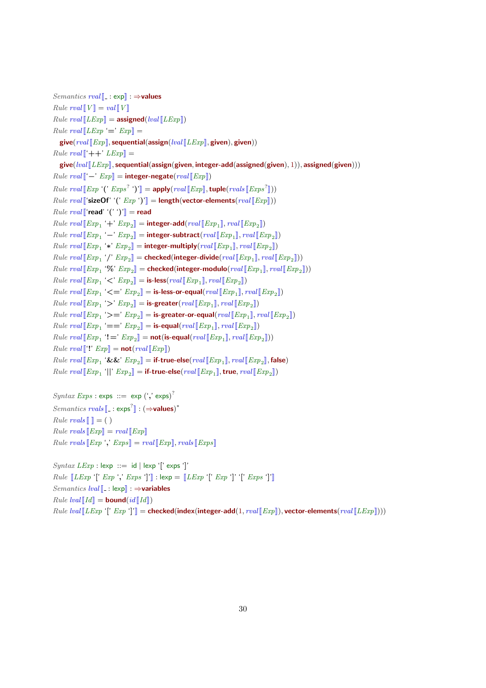$Semantics \, \text{rval} \, \llbracket \, \cdot \, : \, \text{expl} \, : \, \Rightarrow \text{values}$  $Rule \,rval \llbracket V \rrbracket = val \llbracket V \rrbracket$  $Rule \,rval \, \llbracket LExp \rrbracket = \textbf{assigned}(lval \, \llbracket LExp \rrbracket)$  $Rule \,rval$   $[LEXp' = 'Exp] =$ give( $rval$ [ $Exp$ ], sequential(assign( $lval$ [ $LExp$ ], given), given))  $Rule \,rval\llbracket$ '++'  $LExp\rrbracket =$ give $(lval$   $[LExp]$ , sequential(assign(given, integer-add(assigned(given), 1)), assigned(given)))  $Rule \: eval[$ ' $-$ '  $Exp$ | = integer-negate(rval  $\llbracket Exp \rrbracket$ ) *Rule rval*  $[\text{Exp}^{\cdot}(\text{}'\text{Express}^? \cdot)'] = \text{apply}(rval[\text{Exp}], \text{tuple}(rvals[\text{Exps}^?]))$ Rule rval  $\llbracket$ 'sizeOf' '(' Exp ')' $\rrbracket =$  length(vector-elements(rval  $\llbracket Exp \rrbracket$ )) Rule rval  $\lbrack \lbrack \mathbf{read'}^{\mathsf{T}}(\prime\ \dot{\ })'\rbrack = \mathbf{read}$  $Rule\;rval\left[\!Exp_1\right.^\cdot\leftarrow^\cdot\;Exp_2\right]=\text{integer-add}(\;rval\left[\!Exp_1\right],\;rval\left[\!Exp_2\right])$  $Rule\;rval\left[\!Exp_1\right.\left.\left.\left.\left.\left.\right|-\right.\left.\right| Exp_2\right]\!\right] = \text{integer-subtract}(\mathit{rval}\left[\!Exp_1\right]\!,\mathit{rval}\left[\!Exp_2\right]\!\right)$  $Rule \,rval \left[\underline{Exp}_1 \,^{\cdot} \ast \,^{\cdot} \, \underline{Exp}_2 \right] = \text{integer-multiply}(\text{rval} \left[\underline{Exp}_1 \right], \text{rval} \left[\underline{Exp}_2 \right])$  $Rule \;rval \left[\underline{Exp}_1 \;'/ \; \underline{Exp}_2 \right] = \text{checked}(\text{integer-divide}(\text{rval} \left[\underline{Exp}_1 \right], \text{rval} \left[\underline{Exp}_2 \right]))$  $Rule \;rval \left[\underline{Exp}_1 \; \mathcal{C} \right] = \text{checked}(\text{integer-modulo}(\text{rval} \left[\underline{Exp}_1 \right], \text{rval} \left[\underline{Exp}_2 \right]))$  $Rule \,rval \, [\![ Exp_1 \, '< ' \, Exp_2 ]\!] = \textbf{is-less}(\mathit{rval} \, [\![ Exp_1 ]\!], \mathit{rval} \, [\![ Exp_2 ]\!])$  $Rule \: eval[Exp_1 \, ' < =' \, Exp_2] = \text{is-less-or-equal}(rval[[Exp_1], \, rud[[Exp_2]])$  $Rule \: \textit{rval} \left[ \textit{Exp}_1 \; ' \right\rbrace' \; \textit{Exp}_2 \right] = \text{is-greater}(\textit{rval} \left[ \textit{Exp}_1 \right], \textit{rval} \left[ \textit{Exp}_2 \right])$  $Rule \: eval[Exp_1' > =' Exp_2] = \text{is-greater-or-equal}(rval[[Exp_1], rval[[Exp_2]])$  $Rule\;rval\left[\underline{Exp}_1\;'\equiv\equiv'\;Exp_2\right]=\text{is-equal}(\text{rval}\left[\underline{Exp}_1\right],\text{rval}\left[\underline{Exp}_2\right])$  $Rule \: \mathit{rval} \llbracket \mathit{Exp}_1 \rrbracket := \mathit{Exp}_2 \rrbracket = \mathsf{not}(\mathsf{is}\text{-}\mathsf{equal}(\mathit{rval} \llbracket \mathit{Exp}_1 \rrbracket, \mathit{rval} \llbracket \mathit{Exp}_2 \rrbracket))$  $Rule \,rval\llbracket$ '!'  $Exp\rrbracket = \textbf{not}(\,rval\llbracket Exp \rrbracket)$  $Rule \: \textit{real} \left[ \textit{Exp}_1 \, \, \, \textit{'\&\&'} \, \, \textit{Exp}_2 \right] = \textbf{if-true-else}(\textit{rval} \left[ \textit{Exp}_1 \right], \textit{rval} \left[ \textit{Exp}_2 \right], \textbf{false})$ *Rule rval*  $[\![Exp_1\!'] \! |' Exp_2]\!] = \textbf{if-true-else}(\textit{rval} [\![Exp_1]\!], \textbf{true}, \textit{rval} [\![Exp_2]\!])$  $Syntax\, Express : exps ::= exp (', 'exps)$  $Semantics \text{ rvals}[]$  :  $\exp^?[]$  :  $(\Rightarrow$  values)\* Rule  $rvals$   $\parallel$  = ( )

 $Rule \textit{rvals}$   $\llbracket Exp \rrbracket = \textit{rval} \llbracket Exp \rrbracket$ 

 $Rule \textit{rvals}$   $[Exp', Exps] = \textit{rval}$   $[Exp], \textit{rvals}$   $[Exp]$ 

 $Rule \[LExp '[' Exp ', 'Exps ']']: \text{lexp} = [LExp '[' Exp ']' '[' Exp s ']']$ 

 $Syntax LExp : \text{lexp} ::= \text{id} | \text{lexp} ' |' \text{exps} ' |'$ 

 $Semantics \, \text{lval} \, \llbracket \, \cdot \, : \, \text{lexp} \rrbracket : \, \Rightarrow \text{variables}$  $Rule\lVert val \rVert Id \rVert = \text{bound}(\lVert id \rVert \rVert \rVert)$ 

30

*Rule lval*  $[[LExp'']' Exp']'] =$  checked(index(integer-add(1, rval  $[[Exp]]$ ), vector-elements(rval  $[[LExp]]$ ))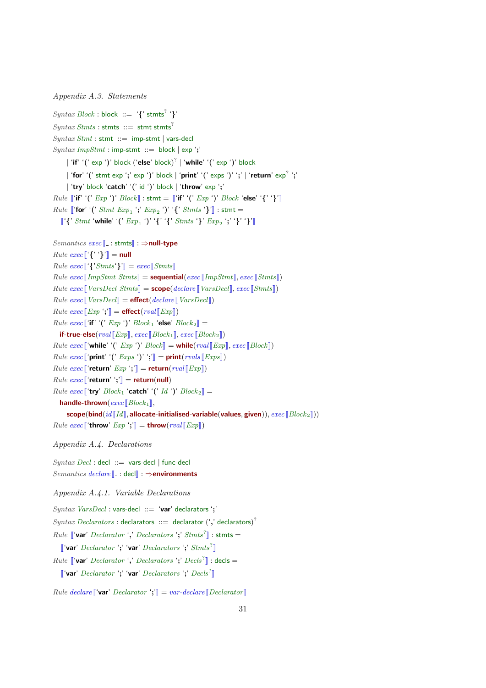<span id="page-30-0"></span>Appendix A.3. Statements

Syntax Block : block ::= '{' stmts<sup>?</sup> '}'  $Syntax \, Stmts :$  stmts ::= stmt stmts<sup>?</sup>  $Syn tax Stmt :$ stmt ::= imp-stmt | vars-decl  $Syn tax ImpStmt : imp-stmt ::= block | exp';'$  $\mid$  'if' '(' exp ')' block ('else' block) $^?$   $\mid$  'while' '(' exp ')' block  $\mid$  'for' '(' stmt exp ';' exp ')' block  $\mid$  'print' '(' exps ')' ';'  $\mid$  'return' exp $^{?}$  ';' | 'try' block 'catch' '(' id ')' block | 'throw' exp ';' *Rule*  $\lceil \lceil \text{`if' } \rceil$ '('  $Exp \rceil$ ')'  $Block \rceil$  : stmt =  $\lceil \lceil \text{`if'} \rceil$ '('  $Exp \rceil$ ')'  $Block \rceil$ 'else' '{' '}' Rule  $\lbrack\!\lbrack\!\lbrack'$  for' '(' Stmt Exp<sub>1</sub>';' Exp<sub>2</sub>')' '{' Stmts '}'] : stmt =  $[$ '{' Stmt 'while' '('  $Exp_1$  ')' '{' '{' Stmts '}'  $Exp_2$ ';' '}' '}']  $Semantics~exec$   $[]$  : stmts $]$  :  $\Rightarrow$ null-type  $Rule \; exec[['']'] = null$  $Rule~exec$   $[``\{'Stmts'\}'] = exec$   $[Stmts]$  $Rule~exec~[ImpStmt~Struts] = sequential(exec~[ImpStmt], exec~[Strts])$ *Rule exec*  $\llbracket VarsDecl \, Stmts \rrbracket = \text{scope}( declare \llbracket VarsDecl \rrbracket, exec \llbracket Stmts \rrbracket)$ *Rule exec*  $[VarSDecl] =$  **effect** (*declare*  $[VarSDecl]$ )  $Rule \; exec \left[ \left[ \textit{Exp}^{\dagger} \right] \right] = \textbf{effect}(\textit{rval} \left[ \left[ \textit{Exp} \right] \right])$ Rule exec  $\lbrack\!\lbrack\mathsf{`if'}\mathsf{`('}Exp')'\ Block_1\mathsf{`else'}\ Block_2\rbrack\!\rbrack=$ if-true-else( $rval$   $\llbracket Exp \rrbracket$ ,  $exec$   $\llbracket Block_1 \rrbracket$ ,  $exec$   $\llbracket Block_2 \rrbracket)$ *Rule exec*  $\lbrack\! \lbrack$  **'while'** '('  $Exp$  ')'  $Block \rbrack\! \rbrack = \textbf{while}(rval \lbrack\! \lbrack Exp \rbrack\! \rbrack, exec \lbrack\! \lbrack Block \rbrack\! \rbrack)$ Rule exec <sup>J</sup>'print' '(' Exps ')' ';'<sup>K</sup> <sup>=</sup> print(rvals <sup>J</sup>ExpsK) *Rule exec*  $\lbrack \lbrack$  **return**'  $Exp$  ';' $\rbrack$  = **return**(rval  $\lbrack \lbrack Exp \rbrack$ ) Rule  $exec$  ['return' ';'] = return(null) Rule exec  $\lbrack \lbrack$  'try'  $Block_1$  'catch' '(' Id ')'  $Block_2 \rbrack =$ handle-thrown( $exec$  [ $Block$ <sub>1</sub>],  $\mathsf{scope}(\mathsf{bind}(id\llbracket Id\rrbracket, \mathsf{allocate\text{-}initialised\text{-}variable}(\mathsf{values}, \mathsf{given})), \mathit{exec}\llbracket Block_2\rrbracket))$ *Rule exec*  $\lbrack\! \lbrack$  **(throw**  $Exp'$  ;  $\rbrack\! \rbrack = \textbf{throw}(rval \lbrack\! \lbrack Exp \rbrack\! \rbrack)$ Appendix A.4. Declarations

 $Syntax$   $Decl$  : decl ::= vars-decl | func-decl  $Semantics \, declare \, \| \, . \; \text{decl} \| : \Rightarrow \text{environments}$ 

Appendix A.4.1. Variable Declarations

 $Suntax\ VarsDecl:$  vars-decl  $::= 'var'$  declarators ';' Syntax Declarators : declarators ::= declarator (',' declarators)<sup>?</sup> *Rule*  $[\text{``var'} \text{ Declaration '}, \text{'}\text{Declarators '}; \text{'\text{S}tmts^?} ]$ : stmts =  $[\!["var']\!$  Declarator ';' 'var' Declarators ';'  $\mathit{Stmts}^{\text{T}}\!]$ *Rule*  $[\lbrack "var'$  *Declarator* ',' *Declarators* ';'  $Decls^2$   $]$  : decls =  $[\!["var']\!$  Declarator ';' 'var' Declarators ';' Decls<sup>?</sup>]

Rule declare  $\lbrack \lbrack \mathbf{var}' \rbrack$  var' Declarator ';' $\rbrack = var-declare$   $\lbrack \lbrack \lbrack \lbrack \lbrack \lbrack \lbrack \lbrack$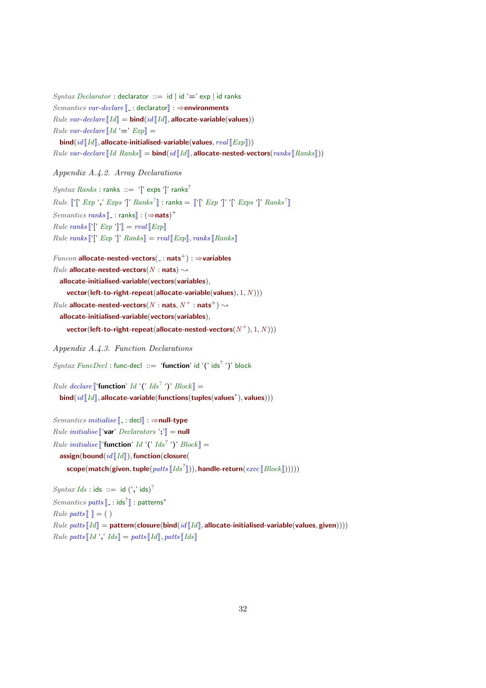$Suntax \ Declarator$ : declarator ::= id | id '=' exp | id ranks  $Semantics\ var-decare \llbracket \bot :$  declarator $\rrbracket : \Rightarrow$  environments *Rule var-declare*  $\llbracket Id \rrbracket = \text{bind}(id \llbracket Id \rrbracket, \text{allocate-variable}(\text{values}))$ Rule var-declare  $\llbracket Id \right. =' Exp \rrbracket =$ 

 $\mathbf{bind}(id\llbracket Id\rrbracket, \mathbf{allocate\text{-}initialised\text{-}variable}(\mathbf{values}, \mathit{rval}\llbracket \mathit{Exp}\rrbracket))$ *Rule var-declare*  $\llbracket Id \rbrack$  *Ranks*  $\llbracket$  = **bind**(id  $\llbracket Id \rrbracket$ , **allocate-nested-vectors**(*ranks*  $\llbracket Ranks \rrbracket$ ))

## <span id="page-31-0"></span>Appendix A.4.2. Array Declarations

Syntax Ranks : ranks  $::= '[' exps']'$  ranks<sup>?</sup>  $Rule \[\ [\ ]' \[\ \textit{Exp}'', \textit{Express} ' \]\ \textit{Ranks}^? \]\ \text{: ranks} = \[\ ]' \[\ \textit{Exp} ' \]\ \text{': '} \[\textit{Express} ' \]\ \text{Ranks}^? \]$ Semantics ranks  $\llbracket \cdot \right.$  : ranks $\rrbracket$  :  $(\Rightarrow$ **nats**)<sup>+</sup> Rule ranks  $\lbrack \lbrack \cdot \rbrack'$  Exp  $\lbrack \rbrack' \rbrack = \text{rval} \lbrack \lbrack \text{Exp} \rbrack$  $Rule \text{ } ranks \llbracket \text{'} \rrbracket' \text{ } Exp \text{ } \rrbracket' \text{ } Ranks \llbracket = \text{ } eval \llbracket Exp \rrbracket, \text{ } ranks \llbracket Ranks \rrbracket$ 

```
\textit{Funcon} allocate-nested-vectors(\texttt{\_} : nats<sup>+</sup>) : \Rightarrow variables
Rule allocate-nested-vectors(N : nats) \rightsquigarrowallocate-initialised-variable(vectors(variables),
     vector(left-to-right-repeat(allocate-variable(values), 1, N)))Rule allocate-nested-vectors( N: nats, N^+: nats<sup>+</sup>) \rightsquigarrowallocate-initialised-variable(vectors(variables),
     vector(left-to-right-repeat(allocate-nested-vectors(N^+), 1, N)))
```
<span id="page-31-1"></span>Appendix A.4.3. Function Declarations

Syntax FuncDecl: func-decl ::= 'function' id '(' ids<sup>?</sup> ')' block

```
Rule declare [\text{function'}\;Id'(' \; \; \; \; '')' \; \; Block] =\textsf{bind}(\mathit{id} \llbracket \mathit{Id} \rrbracket, \textsf{alloc-variable}(\textsf{functions}(\textsf{tuples}(\textsf{values}^*), \textsf{values})))
```

```
Semantics\ initialise \llbracket \_ : decl\llbracket \_ : \Rightarrownull-type
Rule initialise ['var' Declarators ';'\rceil = \text{null}Rule\ intialise ['function' Id '(' Ids<sup>?</sup> ')' Block =
   assign(bound(id\llbracket Id \rrbracket), function(closure(
        \mathsf{scope}(\mathsf{match}(\mathsf{given},\mathsf{tuple}({\mathit{paths}}^\mathsf{T} \| lds^\mathsf{T}])) , \mathsf{handle}\text{-return}({\mathit{exec}}\left[\hspace{0.5mm}[\mathit{Block}] \hspace{0.5mm}]\hspace{0.5mm}))) )
```

```
Syntax Ids : ids ::= id (\cdot, ' ids)<sup>?</sup>
Semantics\ paths [] : ids^? : patterns^*Rule\ paths \llbracket \ \rrbracket = ()Rule patts \llbracket Id \rrbracket = pattern(closure(bind(id \llbracket Id \rrbracket, allocate-initialised-variable(values, given))))
Rule patts [[Id','']ds] = paths[[Id], paths[[ds]]
```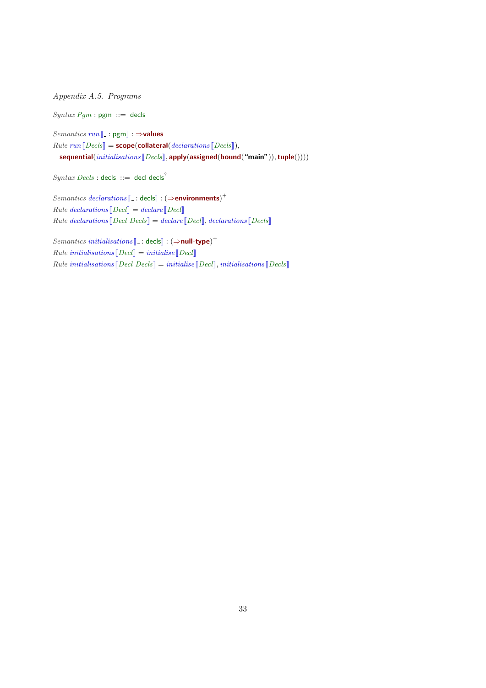Appendix A.5. Programs

 $Syntax Pgm : pgm ::=$  decls

```
Semantics run[] : pgm[] : \Rightarrowvalues
Rule run [Decls] = scope(collateral(declarations [Decls]),{\sf sequential}(\emph{initialisations}[\![\mathit{Decls}]\!], {\sf apply}(\text{assigned}(\text{bound}(\text{ "main}")), {\sf tuple}())))
```
 $Syn tax \, Decls :$  decls  $::=$  decl decls<sup>?</sup>

 $Semantics\, declarations \lbrack \lbrack \dots \rbrack$  :  $\mathsf{decls} \rbrack$  :  $( \Rightarrow \mathsf{environments})^+$  $Rule\ declarations\llbracket Decl\rrbracket = declare\llbracket Decl\rrbracket$  $Rule\ declarations$   $[Decl\ Decl\] = declare$   $[Decl]$ , declarations  $[Decls]$ 

```
Semantics initialisations [] : decls] : (⇒null-type)^+Rule initialisations [Decl] = initialise [Decl]Rule initialisations \llbracket Decl \rrbracket = initialise \llbracket Decl \rrbracket, initialisations \llbracket Decls \rrbracket
```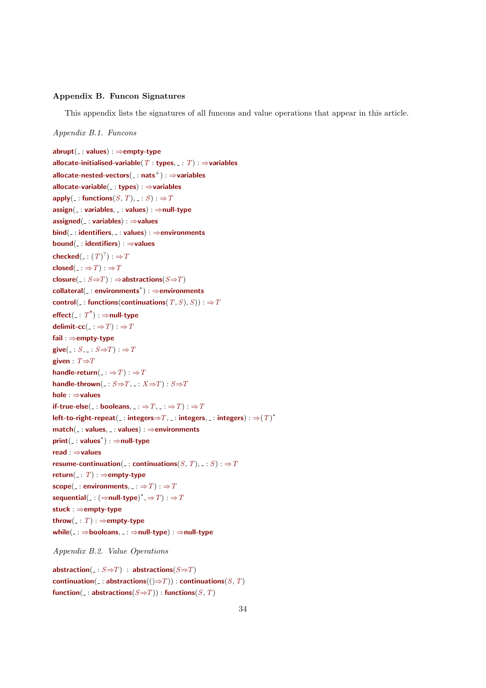## <span id="page-33-0"></span>Appendix B. Funcon Signatures

This appendix lists the signatures of all funcons and value operations that appear in this article.

## <span id="page-33-1"></span>Appendix B.1. Funcons

```
abrupt(: values) : \Rightarrowempty-type
allocate-initialised-variable(T :types, : T) : \Rightarrowvariables
allocate-nested-vectors(\_ : nats^+) : \Rightarrowvariables
allocate-variable( : types) : ⇒variables
apply(\_ : functions(S, T), \_ : S) : \Rightarrow Tassign( _: variables, _: values) : ⇒null-type
assigned(\angle: variables) : \Rightarrow values
bind( : identifiers, : values) : ⇒environments
bound(\_ : <i>identifiers</i>) : <math>\Rightarrow</math> valueschecked(\underline{\ }:(T)^{?}):\Rightarrow Tclosed(\square : \Rightarrow T) : \Rightarrow T\mathsf{closure}(\_ : S \Rightarrow T) : \Rightarrow \mathsf{abstractions}(S \Rightarrow T)collateral(_: environments<sup>*</sup>): ⇒environments
control( \angle : functions(continuations( T, S), S)) : \Rightarrow Teffect(\_:\,T^*) : \Rightarrownull-type
delimit-cc(\angle: \Rightarrow T) : \Rightarrow Tfail : ⇒empty-type
give(. : S, . : S \Rightarrow T) : \Rightarrow Tgiven : T\Rightarrow Thandle-return(\Box : \Rightarrow T) : \Rightarrow Thandle-thrown(. : S \Rightarrow T, . : X \Rightarrow T) : S \Rightarrow Thole : ⇒values
if-true-else(\Box: booleans,\Box: \Rightarrow T, \Box: \Rightarrow T) : \Rightarrow Tleft-to-right-repeat(.: integers\Rightarrow T,.: integers, \Box: integers) : \Rightarrow (T)^*match( : values, : values) : ⇒environments
print(<sub>-</sub>: values<sup>*</sup>): ⇒null-type
read : ⇒values
resume-continuation(\angle: continuations(S, T), \angle: S) : \Rightarrow T
return( . : T) : \Rightarrow empty-type\mathbf{scope}(\_ : \mathbf{environments}, \_ : \Rightarrow T) : \Rightarrow Tsequential(\textsf{1}: (\Rightarrow null-type)^*, \Rightarrow T) : \Rightarrow Tstuck : ⇒empty-type
throw(_: T) : \Rightarrow empty-type
while(\Box: \Rightarrow booleans, \Box: \Rightarrow null-type) : \Rightarrow null-type
```
<span id="page-33-2"></span>Appendix B.2. Value Operations

 $abstraction( . : S \Rightarrow T) : abstractions(S \Rightarrow T)$ continuation( $\Box$ : abstractions $((\Rightarrow T))$ : continuations $(S, T)$ function( $\mathsf{I}:$  abstractions( $S \Rightarrow T$ )) : functions( $S, T$ )